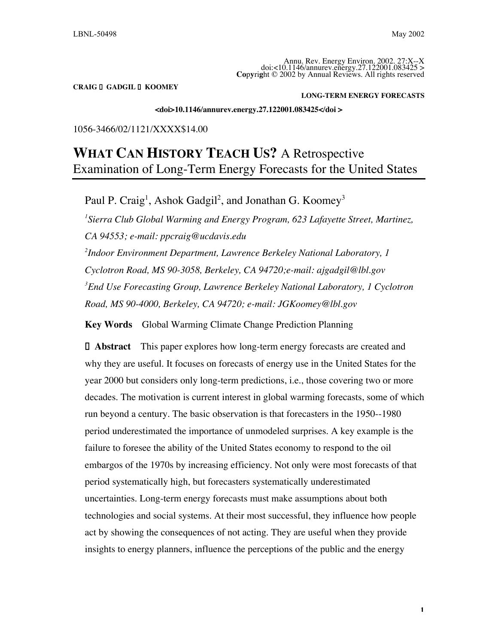Annu. Rev. Energy Environ. 2002. 27:X--X doi:<10.1146/annurev.energy.27.122001.083425 > **Co**p**y**ri**g**ht © 2002 by Annual Reviews. All rights reserved

**CRAIG** n**!GADGIL** n**!KOOMEY**

**LONG-TERM ENERGY FORECASTS**

**<doi>10.1146/annurev.energy.27.122001.083425</doi >**

## 1056-3466/02/1121/XXXX\$14.00

# **WHAT CAN HISTORY TEACH US?** A Retrospective Examination of Long-Term Energy Forecasts for the United States

Paul P. Craig<sup>1</sup>, Ashok Gadgil<sup>2</sup>, and Jonathan G. Koomey<sup>3</sup> *1 Sierra Club Global Warming and Energy Program, 623 Lafayette Street, Martinez, CA 94553; e-mail: ppcraig@ucdavis.edu 2 Indoor Environment Department, Lawrence Berkeley National Laboratory, 1*

*Cyclotron Road, MS 90-3058, Berkeley, CA 94720;e-mail: ajgadgil@lbl.gov 3 End Use Forecasting Group, Lawrence Berkeley National Laboratory, 1 Cyclotron Road, MS 90-4000, Berkeley, CA 94720; e-mail: JGKoomey@lbl.gov*

**Key Words** Global Warming Climate Change Prediction Planning

**I. Abstract** This paper explores how long-term energy forecasts are created and why they are useful. It focuses on forecasts of energy use in the United States for the year 2000 but considers only long-term predictions, i.e., those covering two or more decades. The motivation is current interest in global warming forecasts, some of which run beyond a century. The basic observation is that forecasters in the 1950--1980 period underestimated the importance of unmodeled surprises. A key example is the failure to foresee the ability of the United States economy to respond to the oil embargos of the 1970s by increasing efficiency. Not only were most forecasts of that period systematically high, but forecasters systematically underestimated uncertainties. Long-term energy forecasts must make assumptions about both technologies and social systems. At their most successful, they influence how people act by showing the consequences of not acting. They are useful when they provide insights to energy planners, influence the perceptions of the public and the energy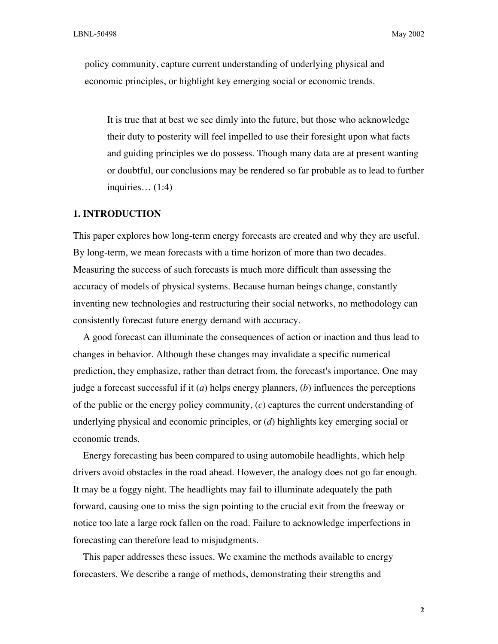policy community, capture current understanding of underlying physical and economic principles, or highlight key emerging social or economic trends.

It is true that at best we see dimly into the future, but those who acknowledge their duty to posterity will feel impelled to use their foresight upon what facts and guiding principles we do possess. Though many data are at present wanting or doubtful, our conclusions may be rendered so far probable as to lead to further inquiries… (1:4)

#### **1. INTRODUCTION**

This paper explores how long-term energy forecasts are created and why they are useful. By long-term, we mean forecasts with a time horizon of more than two decades. Measuring the success of such forecasts is much more difficult than assessing the accuracy of models of physical systems. Because human beings change, constantly inventing new technologies and restructuring their social networks, no methodology can consistently forecast future energy demand with accuracy.

A good forecast can illuminate the consequences of action or inaction and thus lead to changes in behavior. Although these changes may invalidate a specific numerical prediction, they emphasize, rather than detract from, the forecast's importance. One may judge a forecast successful if it (*a*) helps energy planners, (*b*) influences the perceptions of the public or the energy policy community, (*c*) captures the current understanding of underlying physical and economic principles, or (*d*) highlights key emerging social or economic trends.

Energy forecasting has been compared to using automobile headlights, which help drivers avoid obstacles in the road ahead. However, the analogy does not go far enough. It may be a foggy night. The headlights may fail to illuminate adequately the path forward, causing one to miss the sign pointing to the crucial exit from the freeway or notice too late a large rock fallen on the road. Failure to acknowledge imperfections in forecasting can therefore lead to misjudgments.

This paper addresses these issues. We examine the methods available to energy forecasters. We describe a range of methods, demonstrating their strengths and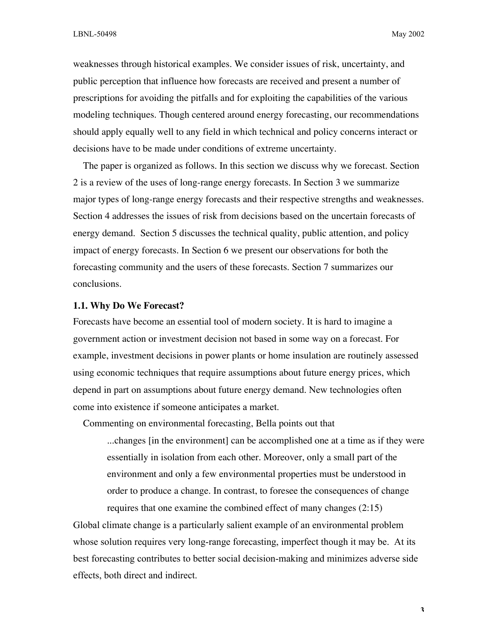weaknesses through historical examples. We consider issues of risk, uncertainty, and public perception that influence how forecasts are received and present a number of prescriptions for avoiding the pitfalls and for exploiting the capabilities of the various modeling techniques. Though centered around energy forecasting, our recommendations should apply equally well to any field in which technical and policy concerns interact or decisions have to be made under conditions of extreme uncertainty.

The paper is organized as follows. In this section we discuss why we forecast. Section 2 is a review of the uses of long-range energy forecasts. In Section 3 we summarize major types of long-range energy forecasts and their respective strengths and weaknesses. Section 4 addresses the issues of risk from decisions based on the uncertain forecasts of energy demand. Section 5 discusses the technical quality, public attention, and policy impact of energy forecasts. In Section 6 we present our observations for both the forecasting community and the users of these forecasts. Section 7 summarizes our conclusions.

## **1.1. Why Do We Forecast?**

Forecasts have become an essential tool of modern society. It is hard to imagine a government action or investment decision not based in some way on a forecast. For example, investment decisions in power plants or home insulation are routinely assessed using economic techniques that require assumptions about future energy prices, which depend in part on assumptions about future energy demand. New technologies often come into existence if someone anticipates a market.

Commenting on environmental forecasting, Bella points out that ...changes [in the environment] can be accomplished one at a time as if they were essentially in isolation from each other. Moreover, only a small part of the environment and only a few environmental properties must be understood in order to produce a change. In contrast, to foresee the consequences of change

Global climate change is a particularly salient example of an environmental problem whose solution requires very long-range forecasting, imperfect though it may be. At its best forecasting contributes to better social decision-making and minimizes adverse side effects, both direct and indirect.

requires that one examine the combined effect of many changes (2:15)

**3**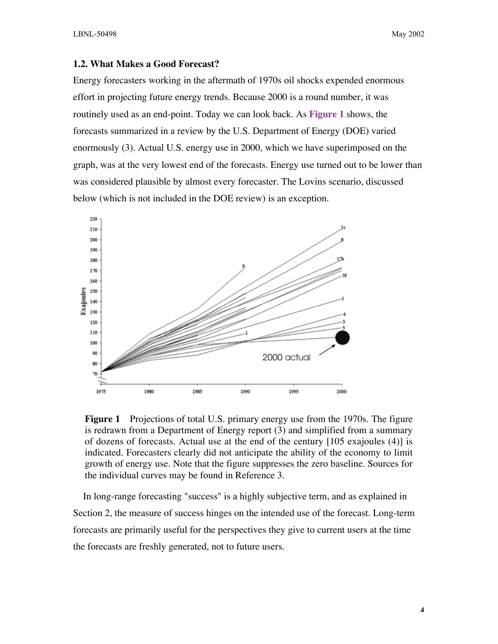#### **1.2. What Makes a Good Forecast?**

Energy forecasters working in the aftermath of 1970s oil shocks expended enormous effort in projecting future energy trends. Because 2000 is a round number, it was routinely used as an end-point. Today we can look back. As **Figure 1** shows, the forecasts summarized in a review by the U.S. Department of Energy (DOE) varied enormously (3). Actual U.S. energy use in 2000, which we have superimposed on the graph, was at the very lowest end of the forecasts. Energy use turned out to be lower than was considered plausible by almost every forecaster. The Lovins scenario, discussed below (which is not included in the DOE review) is an exception.



**Figure 1** Projections of total U.S. primary energy use from the 1970s. The figure is redrawn from a Department of Energy report (3) and simplified from a summary of dozens of forecasts. Actual use at the end of the century [105 exajoules (4)] is indicated. Forecasters clearly did not anticipate the ability of the economy to limit growth of energy use. Note that the figure suppresses the zero baseline. Sources for the individual curves may be found in Reference 3.

In long-range forecasting "success" is a highly subjective term, and as explained in Section 2, the measure of success hinges on the intended use of the forecast. Long-term forecasts are primarily useful for the perspectives they give to current users at the time the forecasts are freshly generated, not to future users.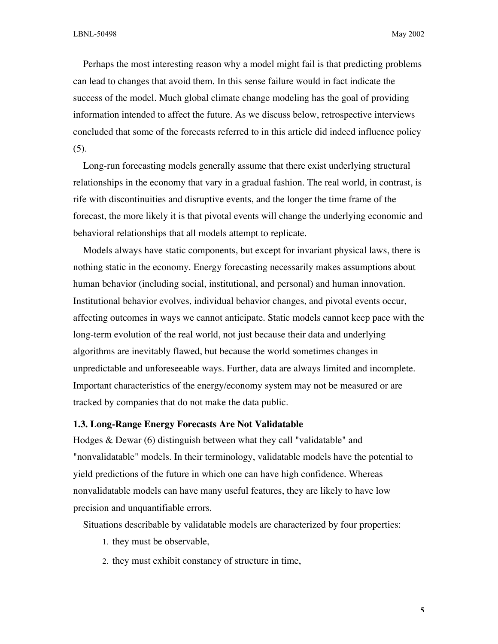Perhaps the most interesting reason why a model might fail is that predicting problems can lead to changes that avoid them. In this sense failure would in fact indicate the success of the model. Much global climate change modeling has the goal of providing information intended to affect the future. As we discuss below, retrospective interviews concluded that some of the forecasts referred to in this article did indeed influence policy (5).

Long-run forecasting models generally assume that there exist underlying structural relationships in the economy that vary in a gradual fashion. The real world, in contrast, is rife with discontinuities and disruptive events, and the longer the time frame of the forecast, the more likely it is that pivotal events will change the underlying economic and behavioral relationships that all models attempt to replicate.

Models always have static components, but except for invariant physical laws, there is nothing static in the economy. Energy forecasting necessarily makes assumptions about human behavior (including social, institutional, and personal) and human innovation. Institutional behavior evolves, individual behavior changes, and pivotal events occur, affecting outcomes in ways we cannot anticipate. Static models cannot keep pace with the long-term evolution of the real world, not just because their data and underlying algorithms are inevitably flawed, but because the world sometimes changes in unpredictable and unforeseeable ways. Further, data are always limited and incomplete. Important characteristics of the energy/economy system may not be measured or are tracked by companies that do not make the data public.

#### **1.3. Long-Range Energy Forecasts Are Not Validatable**

Hodges & Dewar (6) distinguish between what they call "validatable" and "nonvalidatable" models. In their terminology, validatable models have the potential to yield predictions of the future in which one can have high confidence. Whereas nonvalidatable models can have many useful features, they are likely to have low precision and unquantifiable errors.

Situations describable by validatable models are characterized by four properties:

- 1. they must be observable,
- 2. they must exhibit constancy of structure in time,

**5**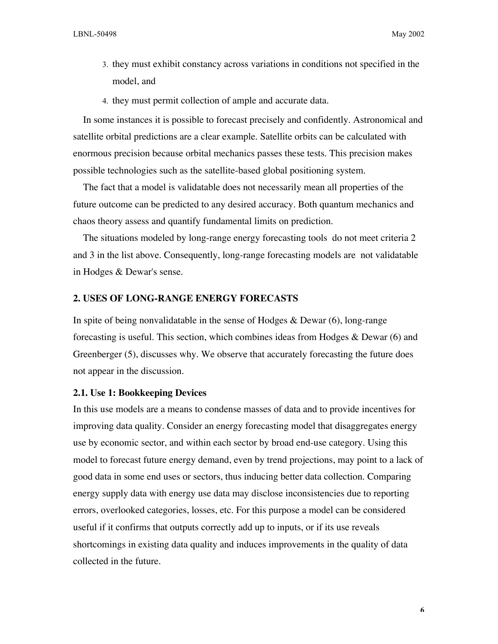- 3. they must exhibit constancy across variations in conditions not specified in the model, and
- 4. they must permit collection of ample and accurate data.

In some instances it is possible to forecast precisely and confidently. Astronomical and satellite orbital predictions are a clear example. Satellite orbits can be calculated with enormous precision because orbital mechanics passes these tests. This precision makes possible technologies such as the satellite-based global positioning system.

The fact that a model is validatable does not necessarily mean all properties of the future outcome can be predicted to any desired accuracy. Both quantum mechanics and chaos theory assess and quantify fundamental limits on prediction.

The situations modeled by long-range energy forecasting tools do not meet criteria 2 and 3 in the list above. Consequently, long-range forecasting models are not validatable in Hodges & Dewar's sense.

#### **2. USES OF LONG-RANGE ENERGY FORECASTS**

In spite of being nonvalidatable in the sense of Hodges  $\&$  Dewar (6), long-range forecasting is useful. This section, which combines ideas from Hodges & Dewar (6) and Greenberger (5), discusses why. We observe that accurately forecasting the future does not appear in the discussion.

#### **2.1. Use 1: Bookkeeping Devices**

In this use models are a means to condense masses of data and to provide incentives for improving data quality. Consider an energy forecasting model that disaggregates energy use by economic sector, and within each sector by broad end-use category. Using this model to forecast future energy demand, even by trend projections, may point to a lack of good data in some end uses or sectors, thus inducing better data collection. Comparing energy supply data with energy use data may disclose inconsistencies due to reporting errors, overlooked categories, losses, etc. For this purpose a model can be considered useful if it confirms that outputs correctly add up to inputs, or if its use reveals shortcomings in existing data quality and induces improvements in the quality of data collected in the future.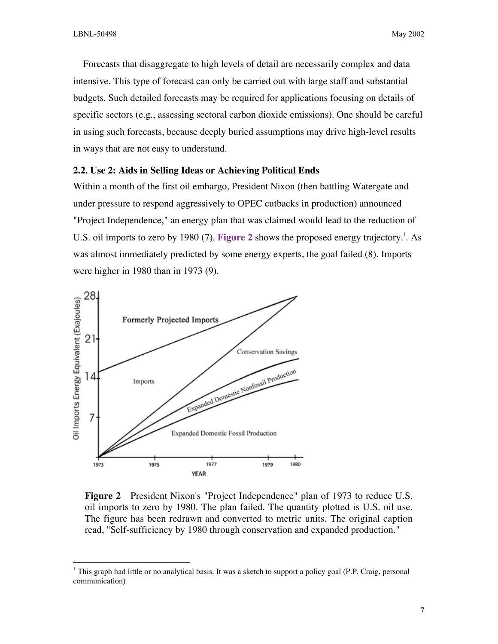Forecasts that disaggregate to high levels of detail are necessarily complex and data intensive. This type of forecast can only be carried out with large staff and substantial budgets. Such detailed forecasts may be required for applications focusing on details of specific sectors (e.g., assessing sectoral carbon dioxide emissions). One should be careful in using such forecasts, because deeply buried assumptions may drive high-level results in ways that are not easy to understand.

## **2.2. Use 2: Aids in Selling Ideas or Achieving Political Ends**

Within a month of the first oil embargo, President Nixon (then battling Watergate and under pressure to respond aggressively to OPEC cutbacks in production) announced "Project Independence," an energy plan that was claimed would lead to the reduction of U.S. oil imports to zero by 1980 (7). Figure 2 shows the proposed energy trajectory.<sup>1</sup>. As was almost immediately predicted by some energy experts, the goal failed (8). Imports were higher in 1980 than in 1973 (9).



**Figure 2** President Nixon's "Project Independence" plan of 1973 to reduce U.S. oil imports to zero by 1980. The plan failed. The quantity plotted is U.S. oil use. The figure has been redrawn and converted to metric units. The original caption read, "Self-sufficiency by 1980 through conservation and expanded production."

 $1$  This graph had little or no analytical basis. It was a sketch to support a policy goal (P.P. Craig, personal communication)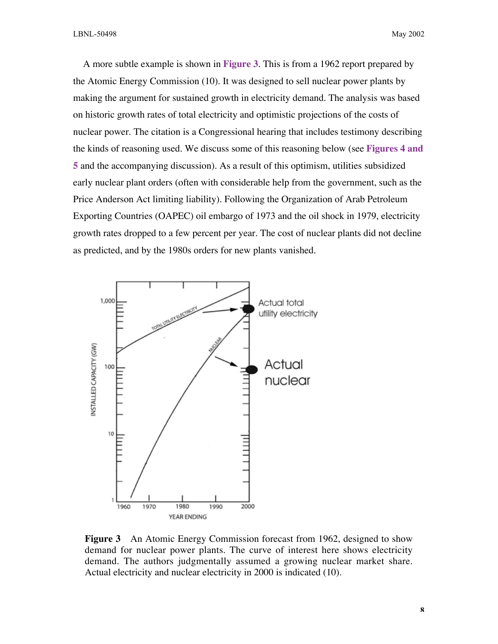A more subtle example is shown in **Figure 3**. This is from a 1962 report prepared by the Atomic Energy Commission (10). It was designed to sell nuclear power plants by making the argument for sustained growth in electricity demand. The analysis was based on historic growth rates of total electricity and optimistic projections of the costs of nuclear power. The citation is a Congressional hearing that includes testimony describing the kinds of reasoning used. We discuss some of this reasoning below (see **Figures 4 and 5** and the accompanying discussion). As a result of this optimism, utilities subsidized early nuclear plant orders (often with considerable help from the government, such as the Price Anderson Act limiting liability). Following the Organization of Arab Petroleum Exporting Countries (OAPEC) oil embargo of 1973 and the oil shock in 1979, electricity growth rates dropped to a few percent per year. The cost of nuclear plants did not decline as predicted, and by the 1980s orders for new plants vanished.



**Figure 3** An Atomic Energy Commission forecast from 1962, designed to show demand for nuclear power plants. The curve of interest here shows electricity demand. The authors judgmentally assumed a growing nuclear market share. Actual electricity and nuclear electricity in 2000 is indicated (10).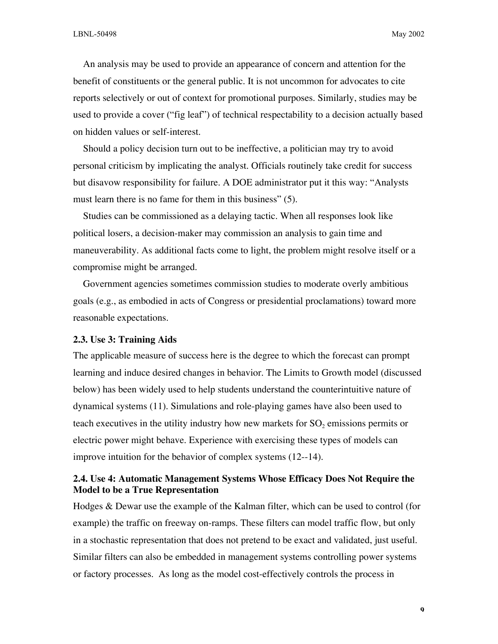An analysis may be used to provide an appearance of concern and attention for the benefit of constituents or the general public. It is not uncommon for advocates to cite reports selectively or out of context for promotional purposes. Similarly, studies may be used to provide a cover ("fig leaf") of technical respectability to a decision actually based on hidden values or self-interest.

Should a policy decision turn out to be ineffective, a politician may try to avoid personal criticism by implicating the analyst. Officials routinely take credit for success but disavow responsibility for failure. A DOE administrator put it this way: "Analysts must learn there is no fame for them in this business" (5).

Studies can be commissioned as a delaying tactic. When all responses look like political losers, a decision-maker may commission an analysis to gain time and maneuverability. As additional facts come to light, the problem might resolve itself or a compromise might be arranged.

Government agencies sometimes commission studies to moderate overly ambitious goals (e.g., as embodied in acts of Congress or presidential proclamations) toward more reasonable expectations.

## **2.3. Use 3: Training Aids**

The applicable measure of success here is the degree to which the forecast can prompt learning and induce desired changes in behavior. The Limits to Growth model (discussed below) has been widely used to help students understand the counterintuitive nature of dynamical systems (11). Simulations and role-playing games have also been used to teach executives in the utility industry how new markets for SO<sub>2</sub> emissions permits or electric power might behave. Experience with exercising these types of models can improve intuition for the behavior of complex systems (12--14).

## **2.4. Use 4: Automatic Management Systems Whose Efficacy Does Not Require the Model to be a True Representation**

Hodges & Dewar use the example of the Kalman filter, which can be used to control (for example) the traffic on freeway on-ramps. These filters can model traffic flow, but only in a stochastic representation that does not pretend to be exact and validated, just useful. Similar filters can also be embedded in management systems controlling power systems or factory processes. As long as the model cost-effectively controls the process in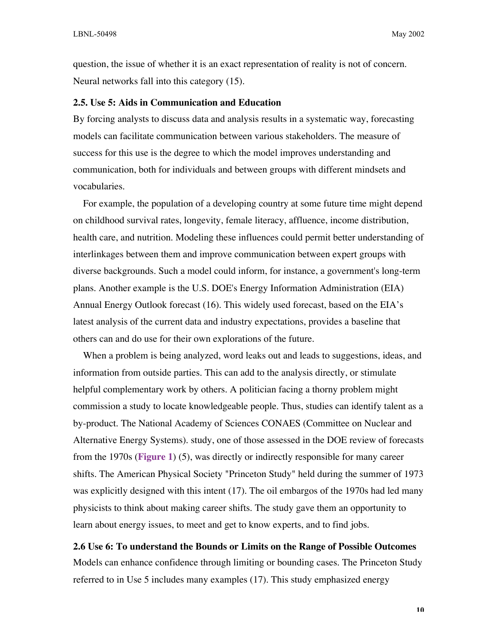question, the issue of whether it is an exact representation of reality is not of concern. Neural networks fall into this category (15).

#### **2.5. Use 5: Aids in Communication and Education**

By forcing analysts to discuss data and analysis results in a systematic way, forecasting models can facilitate communication between various stakeholders. The measure of success for this use is the degree to which the model improves understanding and communication, both for individuals and between groups with different mindsets and vocabularies.

For example, the population of a developing country at some future time might depend on childhood survival rates, longevity, female literacy, affluence, income distribution, health care, and nutrition. Modeling these influences could permit better understanding of interlinkages between them and improve communication between expert groups with diverse backgrounds. Such a model could inform, for instance, a government's long-term plans. Another example is the U.S. DOE's Energy Information Administration (EIA) Annual Energy Outlook forecast (16). This widely used forecast, based on the EIA's latest analysis of the current data and industry expectations, provides a baseline that others can and do use for their own explorations of the future.

When a problem is being analyzed, word leaks out and leads to suggestions, ideas, and information from outside parties. This can add to the analysis directly, or stimulate helpful complementary work by others. A politician facing a thorny problem might commission a study to locate knowledgeable people. Thus, studies can identify talent as a by-product. The National Academy of Sciences CONAES (Committee on Nuclear and Alternative Energy Systems). study, one of those assessed in the DOE review of forecasts from the 1970s (**Figure 1**) (5), was directly or indirectly responsible for many career shifts. The American Physical Society "Princeton Study" held during the summer of 1973 was explicitly designed with this intent (17). The oil embargos of the 1970s had led many physicists to think about making career shifts. The study gave them an opportunity to learn about energy issues, to meet and get to know experts, and to find jobs.

**2.6 Use 6: To understand the Bounds or Limits on the Range of Possible Outcomes** Models can enhance confidence through limiting or bounding cases. The Princeton Study referred to in Use 5 includes many examples (17). This study emphasized energy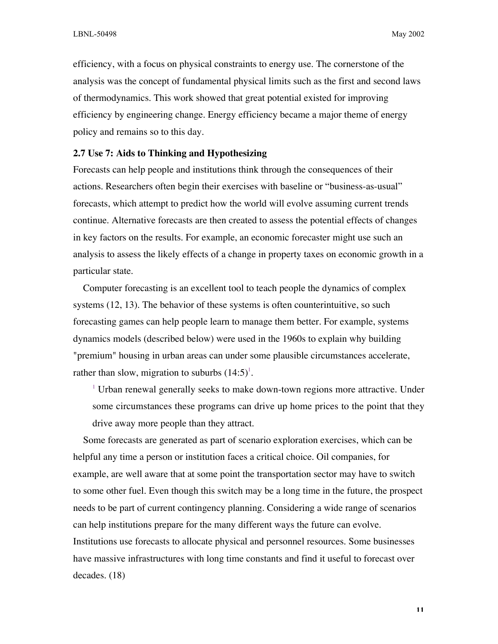efficiency, with a focus on physical constraints to energy use. The cornerstone of the analysis was the concept of fundamental physical limits such as the first and second laws of thermodynamics. This work showed that great potential existed for improving efficiency by engineering change. Energy efficiency became a major theme of energy policy and remains so to this day.

## **2.7 Use 7: Aids to Thinking and Hypothesizing**

Forecasts can help people and institutions think through the consequences of their actions. Researchers often begin their exercises with baseline or "business-as-usual" forecasts, which attempt to predict how the world will evolve assuming current trends continue. Alternative forecasts are then created to assess the potential effects of changes in key factors on the results. For example, an economic forecaster might use such an analysis to assess the likely effects of a change in property taxes on economic growth in a particular state.

Computer forecasting is an excellent tool to teach people the dynamics of complex systems (12, 13). The behavior of these systems is often counterintuitive, so such forecasting games can help people learn to manage them better. For example, systems dynamics models (described below) were used in the 1960s to explain why building "premium" housing in urban areas can under some plausible circumstances accelerate, rather than slow, migration to suburbs  $(14.5)^1$ .

 $1$  Urban renewal generally seeks to make down-town regions more attractive. Under some circumstances these programs can drive up home prices to the point that they drive away more people than they attract.

Some forecasts are generated as part of scenario exploration exercises, which can be helpful any time a person or institution faces a critical choice. Oil companies, for example, are well aware that at some point the transportation sector may have to switch to some other fuel. Even though this switch may be a long time in the future, the prospect needs to be part of current contingency planning. Considering a wide range of scenarios can help institutions prepare for the many different ways the future can evolve. Institutions use forecasts to allocate physical and personnel resources. Some businesses have massive infrastructures with long time constants and find it useful to forecast over decades. (18)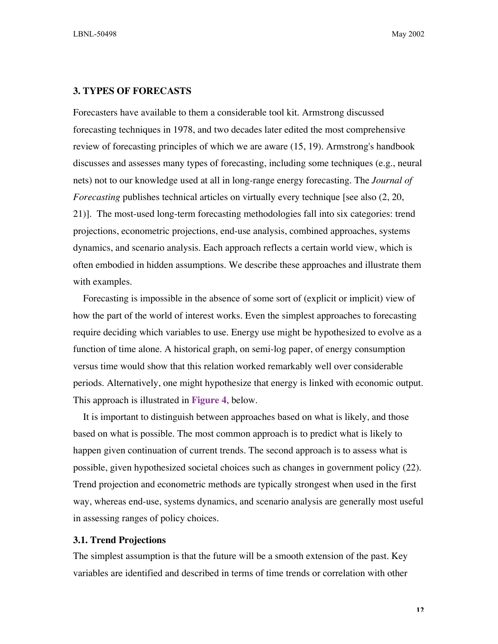LBNL-50498 May 2002

#### **3. TYPES OF FORECASTS**

Forecasters have available to them a considerable tool kit. Armstrong discussed forecasting techniques in 1978, and two decades later edited the most comprehensive review of forecasting principles of which we are aware (15, 19). Armstrong's handbook discusses and assesses many types of forecasting, including some techniques (e.g., neural nets) not to our knowledge used at all in long-range energy forecasting. The *Journal of Forecasting* publishes technical articles on virtually every technique [see also  $(2, 20, 10)$ ] 21)]. The most-used long-term forecasting methodologies fall into six categories: trend projections, econometric projections, end-use analysis, combined approaches, systems dynamics, and scenario analysis. Each approach reflects a certain world view, which is often embodied in hidden assumptions. We describe these approaches and illustrate them with examples.

Forecasting is impossible in the absence of some sort of (explicit or implicit) view of how the part of the world of interest works. Even the simplest approaches to forecasting require deciding which variables to use. Energy use might be hypothesized to evolve as a function of time alone. A historical graph, on semi-log paper, of energy consumption versus time would show that this relation worked remarkably well over considerable periods. Alternatively, one might hypothesize that energy is linked with economic output. This approach is illustrated in **Figure 4**, below.

It is important to distinguish between approaches based on what is likely, and those based on what is possible. The most common approach is to predict what is likely to happen given continuation of current trends. The second approach is to assess what is possible, given hypothesized societal choices such as changes in government policy (22). Trend projection and econometric methods are typically strongest when used in the first way, whereas end-use, systems dynamics, and scenario analysis are generally most useful in assessing ranges of policy choices.

#### **3.1. Trend Projections**

The simplest assumption is that the future will be a smooth extension of the past. Key variables are identified and described in terms of time trends or correlation with other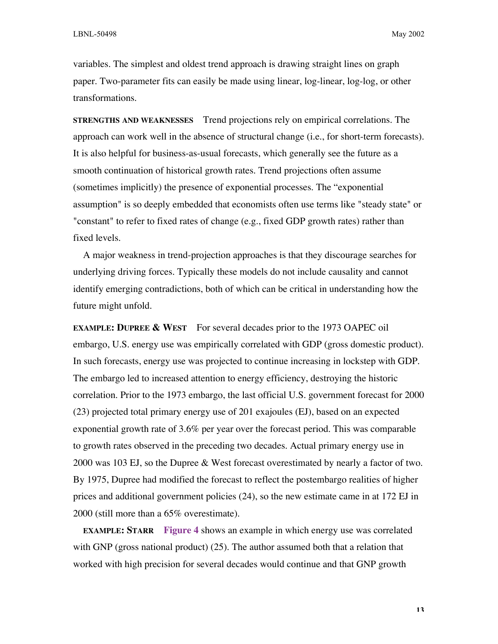variables. The simplest and oldest trend approach is drawing straight lines on graph paper. Two-parameter fits can easily be made using linear, log-linear, log-log, or other transformations.

**STRENGTHS AND WEAKNESSES** Trend projections rely on empirical correlations. The approach can work well in the absence of structural change (i.e., for short-term forecasts). It is also helpful for business-as-usual forecasts, which generally see the future as a smooth continuation of historical growth rates. Trend projections often assume (sometimes implicitly) the presence of exponential processes. The "exponential assumption" is so deeply embedded that economists often use terms like "steady state" or "constant" to refer to fixed rates of change (e.g., fixed GDP growth rates) rather than fixed levels.

A major weakness in trend-projection approaches is that they discourage searches for underlying driving forces. Typically these models do not include causality and cannot identify emerging contradictions, both of which can be critical in understanding how the future might unfold.

**EXAMPLE: DUPREE & WEST** For several decades prior to the 1973 OAPEC oil embargo, U.S. energy use was empirically correlated with GDP (gross domestic product). In such forecasts, energy use was projected to continue increasing in lockstep with GDP. The embargo led to increased attention to energy efficiency, destroying the historic correlation. Prior to the 1973 embargo, the last official U.S. government forecast for 2000 (23) projected total primary energy use of 201 exajoules (EJ), based on an expected exponential growth rate of 3.6% per year over the forecast period. This was comparable to growth rates observed in the preceding two decades. Actual primary energy use in 2000 was 103 EJ, so the Dupree & West forecast overestimated by nearly a factor of two. By 1975, Dupree had modified the forecast to reflect the postembargo realities of higher prices and additional government policies (24), so the new estimate came in at 172 EJ in 2000 (still more than a 65% overestimate).

**EXAMPLE: STARR Figure 4** shows an example in which energy use was correlated with GNP (gross national product) (25). The author assumed both that a relation that worked with high precision for several decades would continue and that GNP growth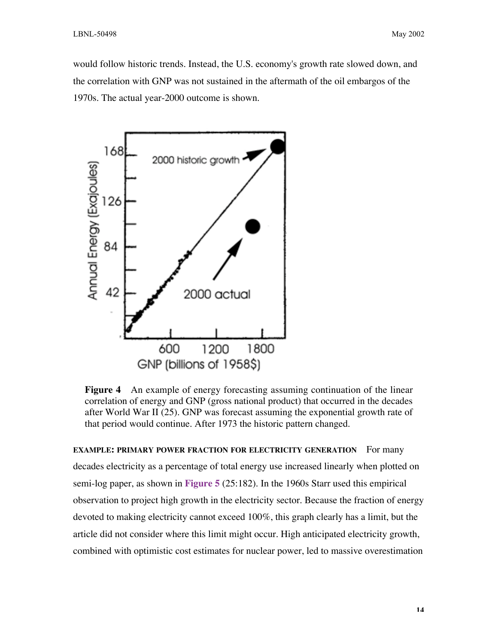would follow historic trends. Instead, the U.S. economy's growth rate slowed down, and the correlation with GNP was not sustained in the aftermath of the oil embargos of the 1970s. The actual year-2000 outcome is shown.



**Figure 4** An example of energy forecasting assuming continuation of the linear correlation of energy and GNP (gross national product) that occurred in the decades after World War II (25). GNP was forecast assuming the exponential growth rate of that period would continue. After 1973 the historic pattern changed.

**EXAMPLE: PRIMARY POWER FRACTION FOR ELECTRICITY GENERATION** For many decades electricity as a percentage of total energy use increased linearly when plotted on semi-log paper, as shown in **Figure 5** (25:182). In the 1960s Starr used this empirical observation to project high growth in the electricity sector. Because the fraction of energy devoted to making electricity cannot exceed 100%, this graph clearly has a limit, but the article did not consider where this limit might occur. High anticipated electricity growth, combined with optimistic cost estimates for nuclear power, led to massive overestimation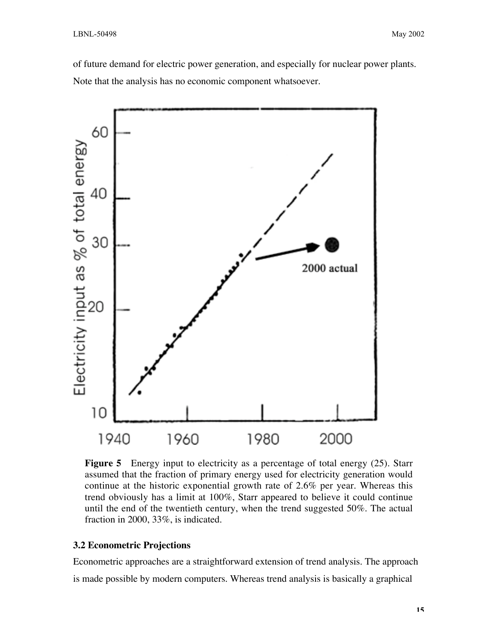of future demand for electric power generation, and especially for nuclear power plants. Note that the analysis has no economic component whatsoever.



**Figure 5** Energy input to electricity as a percentage of total energy (25). Starr assumed that the fraction of primary energy used for electricity generation would continue at the historic exponential growth rate of 2.6% per year. Whereas this trend obviously has a limit at 100%, Starr appeared to believe it could continue until the end of the twentieth century, when the trend suggested 50%. The actual fraction in 2000, 33%, is indicated.

#### **3.2 Econometric Projections**

Econometric approaches are a straightforward extension of trend analysis. The approach is made possible by modern computers. Whereas trend analysis is basically a graphical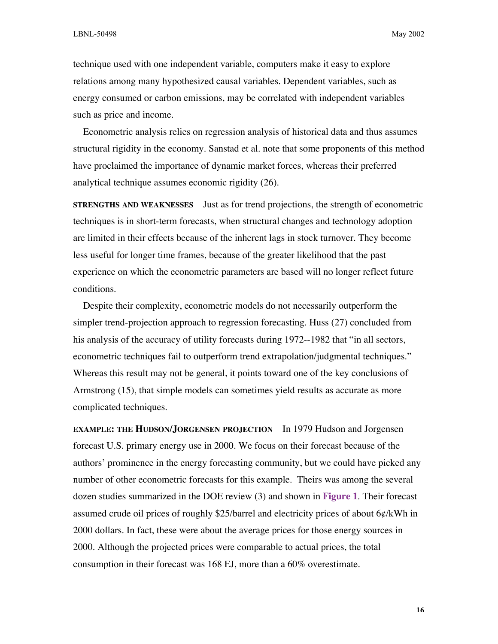technique used with one independent variable, computers make it easy to explore relations among many hypothesized causal variables. Dependent variables, such as energy consumed or carbon emissions, may be correlated with independent variables such as price and income.

Econometric analysis relies on regression analysis of historical data and thus assumes structural rigidity in the economy. Sanstad et al. note that some proponents of this method have proclaimed the importance of dynamic market forces, whereas their preferred analytical technique assumes economic rigidity (26).

**STRENGTHS AND WEAKNESSES** Just as for trend projections, the strength of econometric techniques is in short-term forecasts, when structural changes and technology adoption are limited in their effects because of the inherent lags in stock turnover. They become less useful for longer time frames, because of the greater likelihood that the past experience on which the econometric parameters are based will no longer reflect future conditions.

Despite their complexity, econometric models do not necessarily outperform the simpler trend-projection approach to regression forecasting. Huss (27) concluded from his analysis of the accuracy of utility forecasts during 1972--1982 that "in all sectors, econometric techniques fail to outperform trend extrapolation/judgmental techniques." Whereas this result may not be general, it points toward one of the key conclusions of Armstrong (15), that simple models can sometimes yield results as accurate as more complicated techniques.

**EXAMPLE: THE HUDSON/JORGENSEN PROJECTION** In 1979 Hudson and Jorgensen forecast U.S. primary energy use in 2000. We focus on their forecast because of the authors' prominence in the energy forecasting community, but we could have picked any number of other econometric forecasts for this example. Theirs was among the several dozen studies summarized in the DOE review (3) and shown in **Figure 1**. Their forecast assumed crude oil prices of roughly \$25/barrel and electricity prices of about  $6\phi$ /kWh in 2000 dollars. In fact, these were about the average prices for those energy sources in 2000. Although the projected prices were comparable to actual prices, the total consumption in their forecast was 168 EJ, more than a 60% overestimate.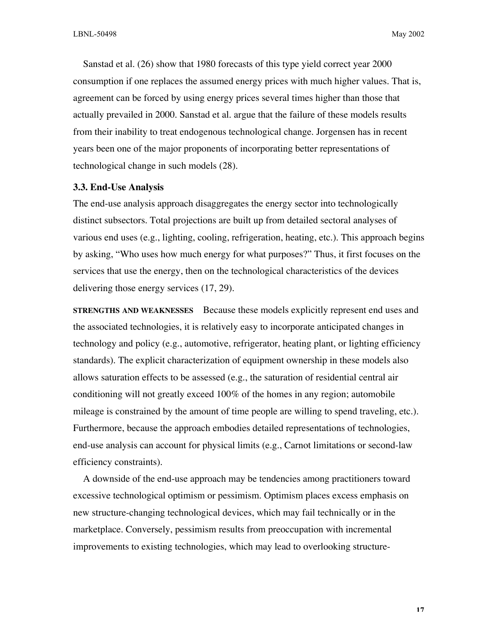Sanstad et al. (26) show that 1980 forecasts of this type yield correct year 2000 consumption if one replaces the assumed energy prices with much higher values. That is, agreement can be forced by using energy prices several times higher than those that actually prevailed in 2000. Sanstad et al. argue that the failure of these models results from their inability to treat endogenous technological change. Jorgensen has in recent years been one of the major proponents of incorporating better representations of technological change in such models (28).

#### **3.3. End-Use Analysis**

The end-use analysis approach disaggregates the energy sector into technologically distinct subsectors. Total projections are built up from detailed sectoral analyses of various end uses (e.g., lighting, cooling, refrigeration, heating, etc.). This approach begins by asking, "Who uses how much energy for what purposes?" Thus, it first focuses on the services that use the energy, then on the technological characteristics of the devices delivering those energy services (17, 29).

**STRENGTHS AND WEAKNESSES** Because these models explicitly represent end uses and the associated technologies, it is relatively easy to incorporate anticipated changes in technology and policy (e.g., automotive, refrigerator, heating plant, or lighting efficiency standards). The explicit characterization of equipment ownership in these models also allows saturation effects to be assessed (e.g., the saturation of residential central air conditioning will not greatly exceed 100% of the homes in any region; automobile mileage is constrained by the amount of time people are willing to spend traveling, etc.). Furthermore, because the approach embodies detailed representations of technologies, end-use analysis can account for physical limits (e.g., Carnot limitations or second-law efficiency constraints).

A downside of the end-use approach may be tendencies among practitioners toward excessive technological optimism or pessimism. Optimism places excess emphasis on new structure-changing technological devices, which may fail technically or in the marketplace. Conversely, pessimism results from preoccupation with incremental improvements to existing technologies, which may lead to overlooking structure-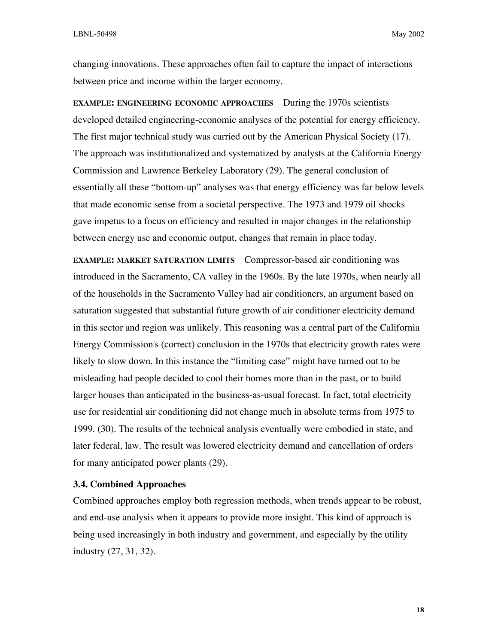changing innovations. These approaches often fail to capture the impact of interactions between price and income within the larger economy.

**EXAMPLE: ENGINEERING ECONOMIC APPROACHES** During the 1970s scientists developed detailed engineering-economic analyses of the potential for energy efficiency. The first major technical study was carried out by the American Physical Society (17). The approach was institutionalized and systematized by analysts at the California Energy Commission and Lawrence Berkeley Laboratory (29). The general conclusion of essentially all these "bottom-up" analyses was that energy efficiency was far below levels that made economic sense from a societal perspective. The 1973 and 1979 oil shocks gave impetus to a focus on efficiency and resulted in major changes in the relationship between energy use and economic output, changes that remain in place today.

**EXAMPLE: MARKET SATURATION LIMITS** Compressor-based air conditioning was introduced in the Sacramento, CA valley in the 1960s. By the late 1970s, when nearly all of the households in the Sacramento Valley had air conditioners, an argument based on saturation suggested that substantial future growth of air conditioner electricity demand in this sector and region was unlikely. This reasoning was a central part of the California Energy Commission's (correct) conclusion in the 1970s that electricity growth rates were likely to slow down. In this instance the "limiting case" might have turned out to be misleading had people decided to cool their homes more than in the past, or to build larger houses than anticipated in the business-as-usual forecast. In fact, total electricity use for residential air conditioning did not change much in absolute terms from 1975 to 1999. (30). The results of the technical analysis eventually were embodied in state, and later federal, law. The result was lowered electricity demand and cancellation of orders for many anticipated power plants (29).

#### **3.4. Combined Approaches**

Combined approaches employ both regression methods, when trends appear to be robust, and end-use analysis when it appears to provide more insight. This kind of approach is being used increasingly in both industry and government, and especially by the utility industry (27, 31, 32).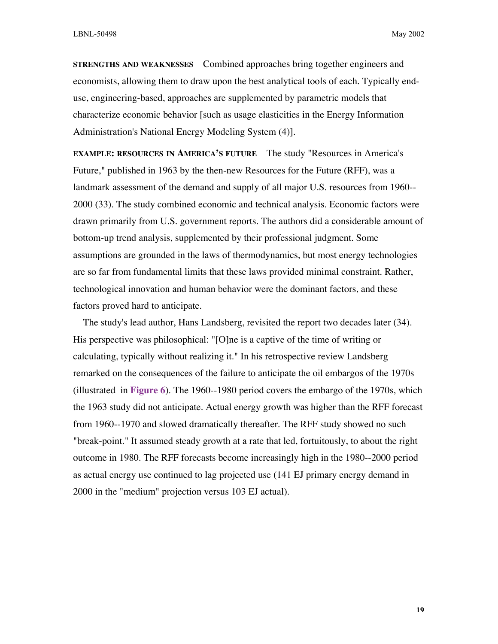**STRENGTHS AND WEAKNESSES** Combined approaches bring together engineers and economists, allowing them to draw upon the best analytical tools of each. Typically enduse, engineering-based, approaches are supplemented by parametric models that characterize economic behavior [such as usage elasticities in the Energy Information Administration's National Energy Modeling System (4)].

**EXAMPLE: RESOURCES IN AMERICA'S FUTURE** The study "Resources in America's Future," published in 1963 by the then-new Resources for the Future (RFF), was a landmark assessment of the demand and supply of all major U.S. resources from 1960-- 2000 (33). The study combined economic and technical analysis. Economic factors were drawn primarily from U.S. government reports. The authors did a considerable amount of bottom-up trend analysis, supplemented by their professional judgment. Some assumptions are grounded in the laws of thermodynamics, but most energy technologies are so far from fundamental limits that these laws provided minimal constraint. Rather, technological innovation and human behavior were the dominant factors, and these factors proved hard to anticipate.

The study's lead author, Hans Landsberg, revisited the report two decades later (34). His perspective was philosophical: "[O]ne is a captive of the time of writing or calculating, typically without realizing it." In his retrospective review Landsberg remarked on the consequences of the failure to anticipate the oil embargos of the 1970s (illustrated in **Figure 6**). The 1960--1980 period covers the embargo of the 1970s, which the 1963 study did not anticipate. Actual energy growth was higher than the RFF forecast from 1960--1970 and slowed dramatically thereafter. The RFF study showed no such "break-point." It assumed steady growth at a rate that led, fortuitously, to about the right outcome in 1980. The RFF forecasts become increasingly high in the 1980--2000 period as actual energy use continued to lag projected use (141 EJ primary energy demand in 2000 in the "medium" projection versus 103 EJ actual).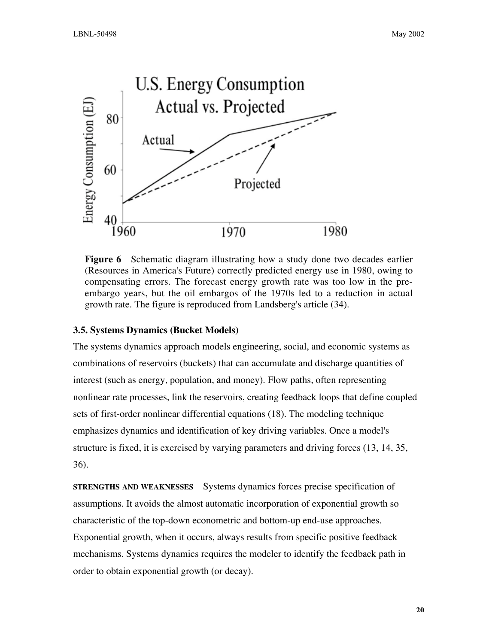

**Figure 6** Schematic diagram illustrating how a study done two decades earlier (Resources in America's Future) correctly predicted energy use in 1980, owing to compensating errors. The forecast energy growth rate was too low in the preembargo years, but the oil embargos of the 1970s led to a reduction in actual growth rate. The figure is reproduced from Landsberg's article (34).

## **3.5. Systems Dynamics (Bucket Models)**

The systems dynamics approach models engineering, social, and economic systems as combinations of reservoirs (buckets) that can accumulate and discharge quantities of interest (such as energy, population, and money). Flow paths, often representing nonlinear rate processes, link the reservoirs, creating feedback loops that define coupled sets of first-order nonlinear differential equations (18). The modeling technique emphasizes dynamics and identification of key driving variables. Once a model's structure is fixed, it is exercised by varying parameters and driving forces (13, 14, 35, 36).

**STRENGTHS AND WEAKNESSES** Systems dynamics forces precise specification of assumptions. It avoids the almost automatic incorporation of exponential growth so characteristic of the top-down econometric and bottom-up end-use approaches. Exponential growth, when it occurs, always results from specific positive feedback mechanisms. Systems dynamics requires the modeler to identify the feedback path in order to obtain exponential growth (or decay).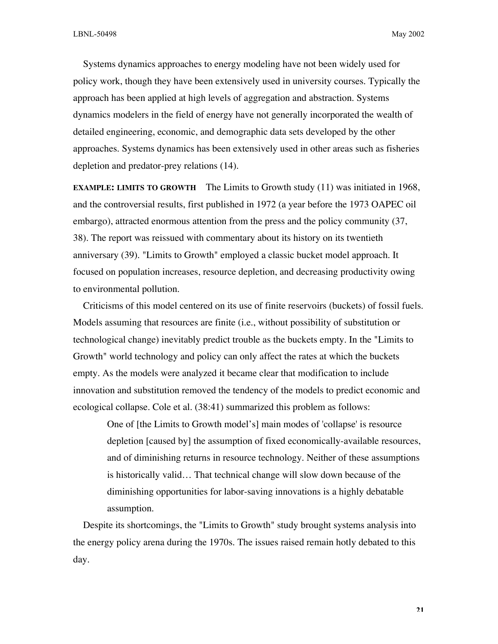Systems dynamics approaches to energy modeling have not been widely used for policy work, though they have been extensively used in university courses. Typically the approach has been applied at high levels of aggregation and abstraction. Systems dynamics modelers in the field of energy have not generally incorporated the wealth of detailed engineering, economic, and demographic data sets developed by the other approaches. Systems dynamics has been extensively used in other areas such as fisheries depletion and predator-prey relations (14).

**EXAMPLE: LIMITS TO GROWTH** The Limits to Growth study (11) was initiated in 1968, and the controversial results, first published in 1972 (a year before the 1973 OAPEC oil embargo), attracted enormous attention from the press and the policy community (37, 38). The report was reissued with commentary about its history on its twentieth anniversary (39). "Limits to Growth" employed a classic bucket model approach. It focused on population increases, resource depletion, and decreasing productivity owing to environmental pollution.

Criticisms of this model centered on its use of finite reservoirs (buckets) of fossil fuels. Models assuming that resources are finite (i.e., without possibility of substitution or technological change) inevitably predict trouble as the buckets empty. In the "Limits to Growth" world technology and policy can only affect the rates at which the buckets empty. As the models were analyzed it became clear that modification to include innovation and substitution removed the tendency of the models to predict economic and ecological collapse. Cole et al. (38:41) summarized this problem as follows:

One of [the Limits to Growth model's] main modes of 'collapse' is resource depletion [caused by] the assumption of fixed economically-available resources, and of diminishing returns in resource technology. Neither of these assumptions is historically valid… That technical change will slow down because of the diminishing opportunities for labor-saving innovations is a highly debatable assumption.

Despite its shortcomings, the "Limits to Growth" study brought systems analysis into the energy policy arena during the 1970s. The issues raised remain hotly debated to this day.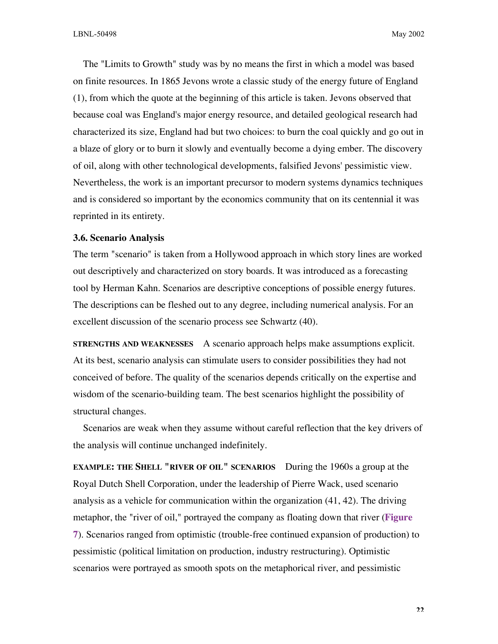The "Limits to Growth" study was by no means the first in which a model was based on finite resources. In 1865 Jevons wrote a classic study of the energy future of England (1), from which the quote at the beginning of this article is taken. Jevons observed that because coal was England's major energy resource, and detailed geological research had characterized its size, England had but two choices: to burn the coal quickly and go out in a blaze of glory or to burn it slowly and eventually become a dying ember. The discovery of oil, along with other technological developments, falsified Jevons' pessimistic view. Nevertheless, the work is an important precursor to modern systems dynamics techniques and is considered so important by the economics community that on its centennial it was reprinted in its entirety.

#### **3.6. Scenario Analysis**

The term "scenario" is taken from a Hollywood approach in which story lines are worked out descriptively and characterized on story boards. It was introduced as a forecasting tool by Herman Kahn. Scenarios are descriptive conceptions of possible energy futures. The descriptions can be fleshed out to any degree, including numerical analysis. For an excellent discussion of the scenario process see Schwartz (40).

**STRENGTHS AND WEAKNESSES** A scenario approach helps make assumptions explicit. At its best, scenario analysis can stimulate users to consider possibilities they had not conceived of before. The quality of the scenarios depends critically on the expertise and wisdom of the scenario-building team. The best scenarios highlight the possibility of structural changes.

Scenarios are weak when they assume without careful reflection that the key drivers of the analysis will continue unchanged indefinitely.

**EXAMPLE: THE SHELL "RIVER OF OIL" SCENARIOS** During the 1960s a group at the Royal Dutch Shell Corporation, under the leadership of Pierre Wack, used scenario analysis as a vehicle for communication within the organization (41, 42). The driving metaphor, the "river of oil," portrayed the company as floating down that river (**Figure 7**). Scenarios ranged from optimistic (trouble-free continued expansion of production) to pessimistic (political limitation on production, industry restructuring). Optimistic scenarios were portrayed as smooth spots on the metaphorical river, and pessimistic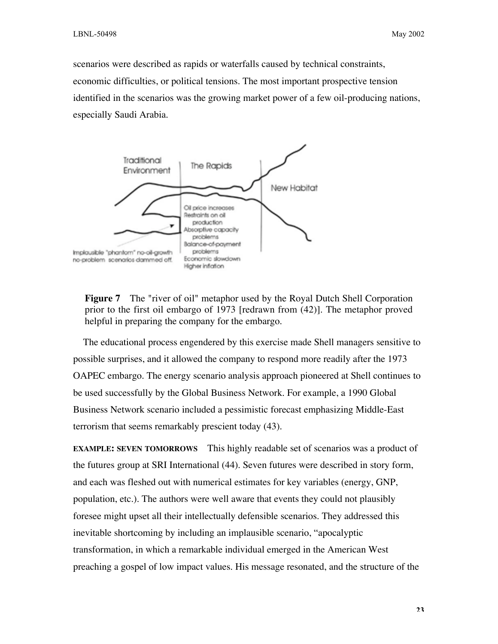scenarios were described as rapids or waterfalls caused by technical constraints, economic difficulties, or political tensions. The most important prospective tension identified in the scenarios was the growing market power of a few oil-producing nations, especially Saudi Arabia.



**Figure 7** The "river of oil" metaphor used by the Royal Dutch Shell Corporation prior to the first oil embargo of 1973 [redrawn from (42)]. The metaphor proved helpful in preparing the company for the embargo.

The educational process engendered by this exercise made Shell managers sensitive to possible surprises, and it allowed the company to respond more readily after the 1973 OAPEC embargo. The energy scenario analysis approach pioneered at Shell continues to be used successfully by the Global Business Network. For example, a 1990 Global Business Network scenario included a pessimistic forecast emphasizing Middle-East terrorism that seems remarkably prescient today (43).

**EXAMPLE: SEVEN TOMORROWS** This highly readable set of scenarios was a product of the futures group at SRI International (44). Seven futures were described in story form, and each was fleshed out with numerical estimates for key variables (energy, GNP, population, etc.). The authors were well aware that events they could not plausibly foresee might upset all their intellectually defensible scenarios. They addressed this inevitable shortcoming by including an implausible scenario, "apocalyptic transformation, in which a remarkable individual emerged in the American West preaching a gospel of low impact values. His message resonated, and the structure of the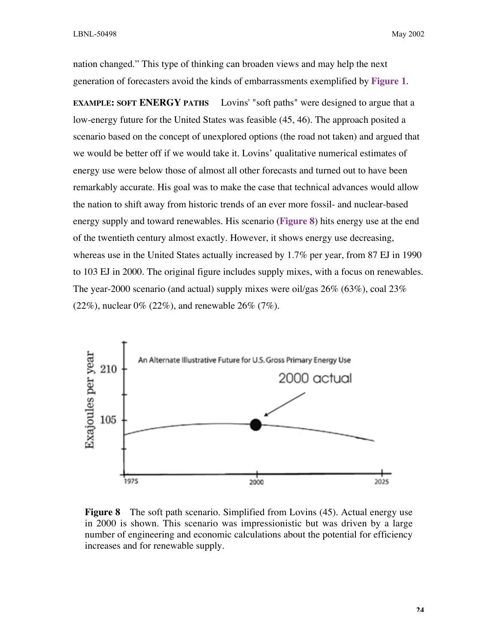nation changed." This type of thinking can broaden views and may help the next generation of forecasters avoid the kinds of embarrassments exemplified by **Figure 1**.

**EXAMPLE: SOFT ENERGY PATHS** Lovins' "soft paths" were designed to argue that a low-energy future for the United States was feasible (45, 46). The approach posited a scenario based on the concept of unexplored options (the road not taken) and argued that we would be better off if we would take it. Lovins' qualitative numerical estimates of energy use were below those of almost all other forecasts and turned out to have been remarkably accurate. His goal was to make the case that technical advances would allow the nation to shift away from historic trends of an ever more fossil- and nuclear-based energy supply and toward renewables. His scenario (**Figure 8**) hits energy use at the end of the twentieth century almost exactly. However, it shows energy use decreasing, whereas use in the United States actually increased by 1.7% per year, from 87 EJ in 1990 to 103 EJ in 2000. The original figure includes supply mixes, with a focus on renewables. The year-2000 scenario (and actual) supply mixes were oil/gas 26% (63%), coal 23%  $(22\%)$ , nuclear 0%  $(22\%)$ , and renewable 26%  $(7\%)$ .



**Figure 8** The soft path scenario. Simplified from Lovins (45). Actual energy use in 2000 is shown. This scenario was impressionistic but was driven by a large number of engineering and economic calculations about the potential for efficiency increases and for renewable supply.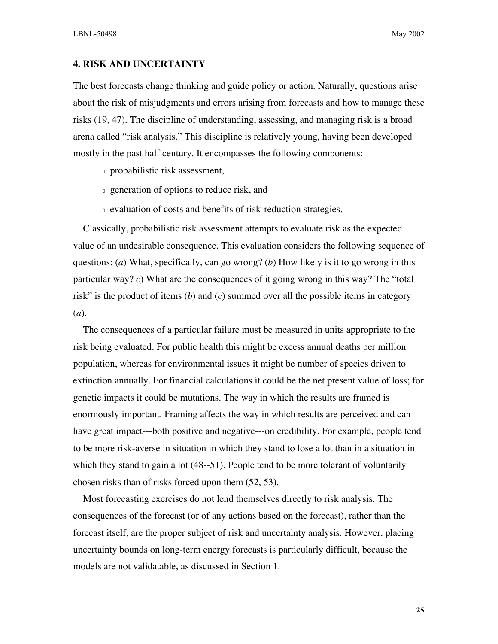## **4. RISK AND UNCERTAINTY**

The best forecasts change thinking and guide policy or action. Naturally, questions arise about the risk of misjudgments and errors arising from forecasts and how to manage these risks (19, 47). The discipline of understanding, assessing, and managing risk is a broad arena called "risk analysis." This discipline is relatively young, having been developed mostly in the past half century. It encompasses the following components:

- <sup>n</sup> probabilistic risk assessment,
- **n** generation of options to reduce risk, and
- <sup>n</sup> evaluation of costs and benefits of risk-reduction strategies.

Classically, probabilistic risk assessment attempts to evaluate risk as the expected value of an undesirable consequence. This evaluation considers the following sequence of questions: (*a*) What, specifically, can go wrong? (*b*) How likely is it to go wrong in this particular way? *c*) What are the consequences of it going wrong in this way? The "total risk" is the product of items (*b*) and (*c*) summed over all the possible items in category (*a*).

The consequences of a particular failure must be measured in units appropriate to the risk being evaluated. For public health this might be excess annual deaths per million population, whereas for environmental issues it might be number of species driven to extinction annually. For financial calculations it could be the net present value of loss; for genetic impacts it could be mutations. The way in which the results are framed is enormously important. Framing affects the way in which results are perceived and can have great impact---both positive and negative---on credibility. For example, people tend to be more risk-averse in situation in which they stand to lose a lot than in a situation in which they stand to gain a lot (48--51). People tend to be more tolerant of voluntarily chosen risks than of risks forced upon them (52, 53).

Most forecasting exercises do not lend themselves directly to risk analysis. The consequences of the forecast (or of any actions based on the forecast), rather than the forecast itself, are the proper subject of risk and uncertainty analysis. However, placing uncertainty bounds on long-term energy forecasts is particularly difficult, because the models are not validatable, as discussed in Section 1.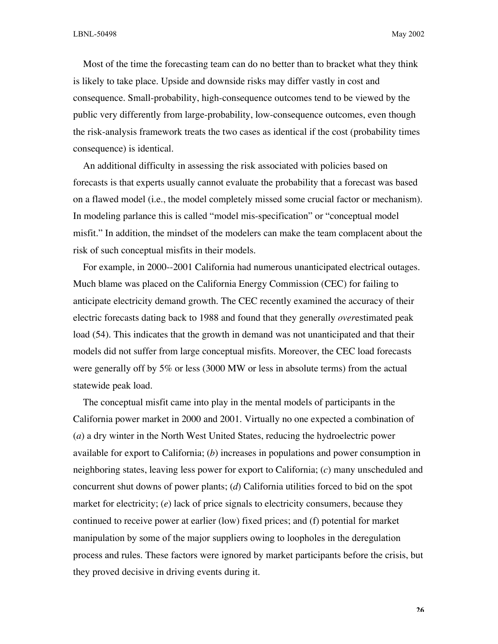Most of the time the forecasting team can do no better than to bracket what they think is likely to take place. Upside and downside risks may differ vastly in cost and consequence. Small-probability, high-consequence outcomes tend to be viewed by the public very differently from large-probability, low-consequence outcomes, even though the risk-analysis framework treats the two cases as identical if the cost (probability times consequence) is identical.

An additional difficulty in assessing the risk associated with policies based on forecasts is that experts usually cannot evaluate the probability that a forecast was based on a flawed model (i.e., the model completely missed some crucial factor or mechanism). In modeling parlance this is called "model mis-specification" or "conceptual model misfit." In addition, the mindset of the modelers can make the team complacent about the risk of such conceptual misfits in their models.

For example, in 2000--2001 California had numerous unanticipated electrical outages. Much blame was placed on the California Energy Commission (CEC) for failing to anticipate electricity demand growth. The CEC recently examined the accuracy of their electric forecasts dating back to 1988 and found that they generally *over*estimated peak load (54). This indicates that the growth in demand was not unanticipated and that their models did not suffer from large conceptual misfits. Moreover, the CEC load forecasts were generally off by 5% or less (3000 MW or less in absolute terms) from the actual statewide peak load.

The conceptual misfit came into play in the mental models of participants in the California power market in 2000 and 2001. Virtually no one expected a combination of (*a*) a dry winter in the North West United States, reducing the hydroelectric power available for export to California; (*b*) increases in populations and power consumption in neighboring states, leaving less power for export to California; (*c*) many unscheduled and concurrent shut downs of power plants; (*d*) California utilities forced to bid on the spot market for electricity; (*e*) lack of price signals to electricity consumers, because they continued to receive power at earlier (low) fixed prices; and (f) potential for market manipulation by some of the major suppliers owing to loopholes in the deregulation process and rules. These factors were ignored by market participants before the crisis, but they proved decisive in driving events during it.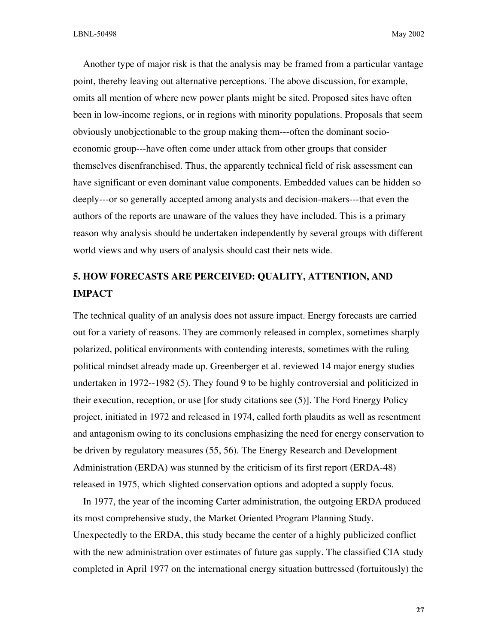Another type of major risk is that the analysis may be framed from a particular vantage point, thereby leaving out alternative perceptions. The above discussion, for example, omits all mention of where new power plants might be sited. Proposed sites have often been in low-income regions, or in regions with minority populations. Proposals that seem obviously unobjectionable to the group making them---often the dominant socioeconomic group---have often come under attack from other groups that consider themselves disenfranchised. Thus, the apparently technical field of risk assessment can have significant or even dominant value components. Embedded values can be hidden so deeply---or so generally accepted among analysts and decision-makers---that even the authors of the reports are unaware of the values they have included. This is a primary reason why analysis should be undertaken independently by several groups with different world views and why users of analysis should cast their nets wide.

## **5. HOW FORECASTS ARE PERCEIVED: QUALITY, ATTENTION, AND IMPACT**

The technical quality of an analysis does not assure impact. Energy forecasts are carried out for a variety of reasons. They are commonly released in complex, sometimes sharply polarized, political environments with contending interests, sometimes with the ruling political mindset already made up. Greenberger et al. reviewed 14 major energy studies undertaken in 1972--1982 (5). They found 9 to be highly controversial and politicized in their execution, reception, or use [for study citations see (5)]. The Ford Energy Policy project, initiated in 1972 and released in 1974, called forth plaudits as well as resentment and antagonism owing to its conclusions emphasizing the need for energy conservation to be driven by regulatory measures (55, 56). The Energy Research and Development Administration (ERDA) was stunned by the criticism of its first report (ERDA-48) released in 1975, which slighted conservation options and adopted a supply focus.

In 1977, the year of the incoming Carter administration, the outgoing ERDA produced its most comprehensive study, the Market Oriented Program Planning Study. Unexpectedly to the ERDA, this study became the center of a highly publicized conflict with the new administration over estimates of future gas supply. The classified CIA study completed in April 1977 on the international energy situation buttressed (fortuitously) the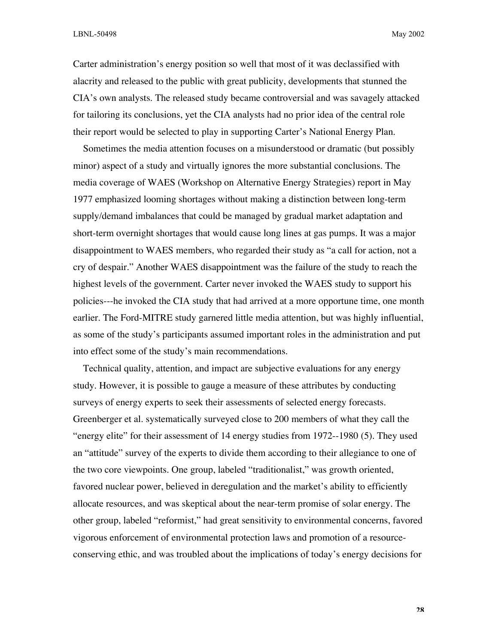Carter administration's energy position so well that most of it was declassified with alacrity and released to the public with great publicity, developments that stunned the CIA's own analysts. The released study became controversial and was savagely attacked for tailoring its conclusions, yet the CIA analysts had no prior idea of the central role their report would be selected to play in supporting Carter's National Energy Plan.

Sometimes the media attention focuses on a misunderstood or dramatic (but possibly minor) aspect of a study and virtually ignores the more substantial conclusions. The media coverage of WAES (Workshop on Alternative Energy Strategies) report in May 1977 emphasized looming shortages without making a distinction between long-term supply/demand imbalances that could be managed by gradual market adaptation and short-term overnight shortages that would cause long lines at gas pumps. It was a major disappointment to WAES members, who regarded their study as "a call for action, not a cry of despair." Another WAES disappointment was the failure of the study to reach the highest levels of the government. Carter never invoked the WAES study to support his policies---he invoked the CIA study that had arrived at a more opportune time, one month earlier. The Ford-MITRE study garnered little media attention, but was highly influential, as some of the study's participants assumed important roles in the administration and put into effect some of the study's main recommendations.

Technical quality, attention, and impact are subjective evaluations for any energy study. However, it is possible to gauge a measure of these attributes by conducting surveys of energy experts to seek their assessments of selected energy forecasts. Greenberger et al. systematically surveyed close to 200 members of what they call the "energy elite" for their assessment of 14 energy studies from 1972--1980 (5). They used an "attitude" survey of the experts to divide them according to their allegiance to one of the two core viewpoints. One group, labeled "traditionalist," was growth oriented, favored nuclear power, believed in deregulation and the market's ability to efficiently allocate resources, and was skeptical about the near-term promise of solar energy. The other group, labeled "reformist," had great sensitivity to environmental concerns, favored vigorous enforcement of environmental protection laws and promotion of a resourceconserving ethic, and was troubled about the implications of today's energy decisions for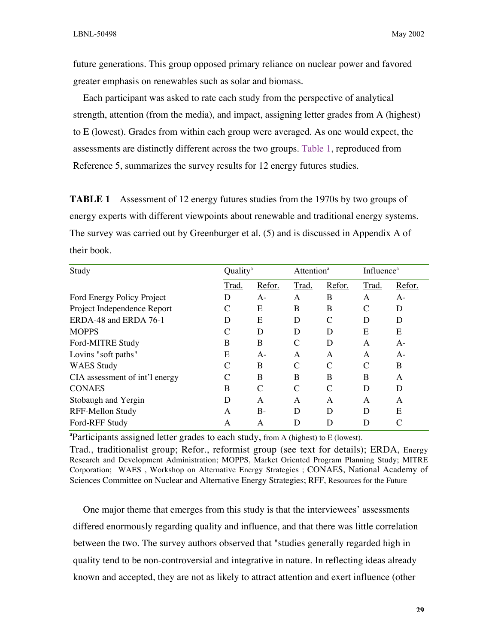future generations. This group opposed primary reliance on nuclear power and favored greater emphasis on renewables such as solar and biomass.

Each participant was asked to rate each study from the perspective of analytical strength, attention (from the media), and impact, assigning letter grades from A (highest) to E (lowest). Grades from within each group were averaged. As one would expect, the assessments are distinctly different across the two groups. Table 1, reproduced from Reference 5, summarizes the survey results for 12 energy futures studies.

**TABLE 1** Assessment of 12 energy futures studies from the 1970s by two groups of energy experts with different viewpoints about renewable and traditional energy systems. The survey was carried out by Greenburger et al. (5) and is discussed in Appendix A of their book.

| Study                          | Quality <sup>a</sup> |        | Attention <sup>a</sup> |        | <b>Influence</b> <sup>a</sup> |        |
|--------------------------------|----------------------|--------|------------------------|--------|-------------------------------|--------|
|                                | Trad.                | Refor. | Trad.                  | Refor. | Trad.                         | Refor. |
| Ford Energy Policy Project     | D                    | $A-$   | A                      | B      | A                             | A-     |
| Project Independence Report    |                      | E      | B                      | B      |                               | D      |
| ERDA-48 and ERDA 76-1          | D                    | E      | D                      | C      | D                             | D      |
| <b>MOPPS</b>                   |                      | D      | D                      | D      | E                             | E      |
| Ford-MITRE Study               | B                    | B      | C                      | D      | A                             | $A-$   |
| Lovins "soft paths"            | E                    | $A-$   | A                      | A      | A                             | $A-$   |
| <b>WAES</b> Study              |                      | B      | $\mathcal{C}$          | C      | C                             | B      |
| CIA assessment of int'l energy |                      | B      | B                      | B      | B                             | A      |
| <b>CONAES</b>                  | B                    | C      |                        | C      | D                             | D      |
| Stobaugh and Yergin            | D                    | A      | A                      | A      | A                             | A      |
| RFF-Mellon Study               | A                    | $B-$   | D                      | D      | D                             | E      |
| Ford-RFF Study                 | A                    | A      | D                      | D      | D                             |        |

<sup>a</sup>Participants assigned letter grades to each study, from A (highest) to E (lowest).

Trad., traditionalist group; Refor., reformist group (see text for details); ERDA, Energy Research and Development Administration; MOPPS, Market Oriented Program Planning Study; MITRE Corporation; WAES , Workshop on Alternative Energy Strategies ; CONAES, National Academy of Sciences Committee on Nuclear and Alternative Energy Strategies; RFF, Resources for the Future

One major theme that emerges from this study is that the interviewees' assessments differed enormously regarding quality and influence, and that there was little correlation between the two. The survey authors observed that "studies generally regarded high in quality tend to be non-controversial and integrative in nature. In reflecting ideas already known and accepted, they are not as likely to attract attention and exert influence (other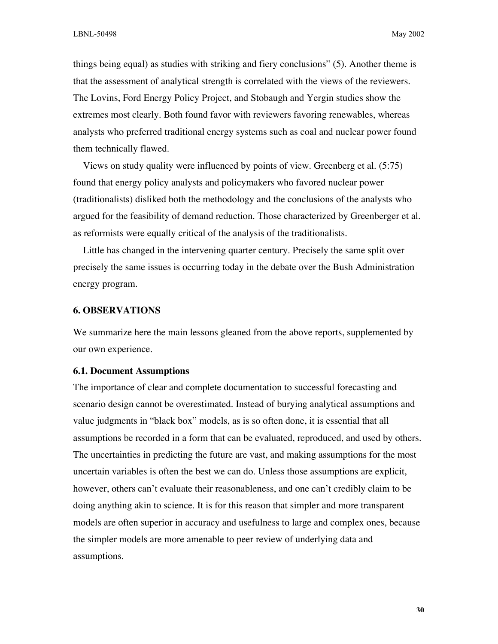things being equal) as studies with striking and fiery conclusions" (5). Another theme is that the assessment of analytical strength is correlated with the views of the reviewers. The Lovins, Ford Energy Policy Project, and Stobaugh and Yergin studies show the extremes most clearly. Both found favor with reviewers favoring renewables, whereas analysts who preferred traditional energy systems such as coal and nuclear power found them technically flawed.

Views on study quality were influenced by points of view. Greenberg et al. (5:75) found that energy policy analysts and policymakers who favored nuclear power (traditionalists) disliked both the methodology and the conclusions of the analysts who argued for the feasibility of demand reduction. Those characterized by Greenberger et al. as reformists were equally critical of the analysis of the traditionalists.

Little has changed in the intervening quarter century. Precisely the same split over precisely the same issues is occurring today in the debate over the Bush Administration energy program.

#### **6. OBSERVATIONS**

We summarize here the main lessons gleaned from the above reports, supplemented by our own experience.

#### **6.1. Document Assumptions**

The importance of clear and complete documentation to successful forecasting and scenario design cannot be overestimated. Instead of burying analytical assumptions and value judgments in "black box" models, as is so often done, it is essential that all assumptions be recorded in a form that can be evaluated, reproduced, and used by others. The uncertainties in predicting the future are vast, and making assumptions for the most uncertain variables is often the best we can do. Unless those assumptions are explicit, however, others can't evaluate their reasonableness, and one can't credibly claim to be doing anything akin to science. It is for this reason that simpler and more transparent models are often superior in accuracy and usefulness to large and complex ones, because the simpler models are more amenable to peer review of underlying data and assumptions.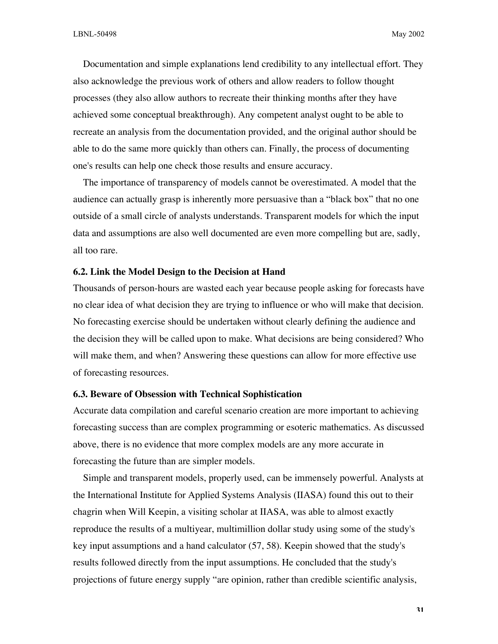Documentation and simple explanations lend credibility to any intellectual effort. They also acknowledge the previous work of others and allow readers to follow thought processes (they also allow authors to recreate their thinking months after they have achieved some conceptual breakthrough). Any competent analyst ought to be able to recreate an analysis from the documentation provided, and the original author should be able to do the same more quickly than others can. Finally, the process of documenting one's results can help one check those results and ensure accuracy.

The importance of transparency of models cannot be overestimated. A model that the audience can actually grasp is inherently more persuasive than a "black box" that no one outside of a small circle of analysts understands. Transparent models for which the input data and assumptions are also well documented are even more compelling but are, sadly, all too rare.

#### **6.2. Link the Model Design to the Decision at Hand**

Thousands of person-hours are wasted each year because people asking for forecasts have no clear idea of what decision they are trying to influence or who will make that decision. No forecasting exercise should be undertaken without clearly defining the audience and the decision they will be called upon to make. What decisions are being considered? Who will make them, and when? Answering these questions can allow for more effective use of forecasting resources.

## **6.3. Beware of Obsession with Technical Sophistication**

Accurate data compilation and careful scenario creation are more important to achieving forecasting success than are complex programming or esoteric mathematics. As discussed above, there is no evidence that more complex models are any more accurate in forecasting the future than are simpler models.

Simple and transparent models, properly used, can be immensely powerful. Analysts at the International Institute for Applied Systems Analysis (IIASA) found this out to their chagrin when Will Keepin, a visiting scholar at IIASA, was able to almost exactly reproduce the results of a multiyear, multimillion dollar study using some of the study's key input assumptions and a hand calculator (57, 58). Keepin showed that the study's results followed directly from the input assumptions. He concluded that the study's projections of future energy supply "are opinion, rather than credible scientific analysis,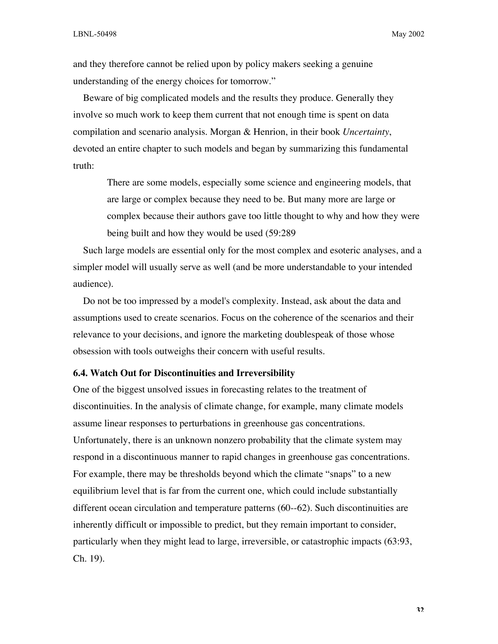and they therefore cannot be relied upon by policy makers seeking a genuine understanding of the energy choices for tomorrow."

Beware of big complicated models and the results they produce. Generally they involve so much work to keep them current that not enough time is spent on data compilation and scenario analysis. Morgan & Henrion, in their book *Uncertainty*, devoted an entire chapter to such models and began by summarizing this fundamental truth:

There are some models, especially some science and engineering models, that are large or complex because they need to be. But many more are large or complex because their authors gave too little thought to why and how they were being built and how they would be used (59:289

Such large models are essential only for the most complex and esoteric analyses, and a simpler model will usually serve as well (and be more understandable to your intended audience).

Do not be too impressed by a model's complexity. Instead, ask about the data and assumptions used to create scenarios. Focus on the coherence of the scenarios and their relevance to your decisions, and ignore the marketing doublespeak of those whose obsession with tools outweighs their concern with useful results.

#### **6.4. Watch Out for Discontinuities and Irreversibility**

One of the biggest unsolved issues in forecasting relates to the treatment of discontinuities. In the analysis of climate change, for example, many climate models assume linear responses to perturbations in greenhouse gas concentrations. Unfortunately, there is an unknown nonzero probability that the climate system may respond in a discontinuous manner to rapid changes in greenhouse gas concentrations. For example, there may be thresholds beyond which the climate "snaps" to a new equilibrium level that is far from the current one, which could include substantially different ocean circulation and temperature patterns (60--62). Such discontinuities are inherently difficult or impossible to predict, but they remain important to consider, particularly when they might lead to large, irreversible, or catastrophic impacts (63:93, Ch. 19).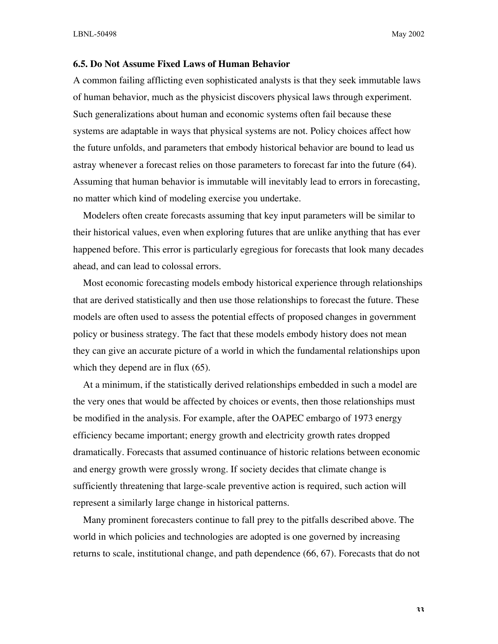## **6.5. Do Not Assume Fixed Laws of Human Behavior**

A common failing afflicting even sophisticated analysts is that they seek immutable laws of human behavior, much as the physicist discovers physical laws through experiment. Such generalizations about human and economic systems often fail because these systems are adaptable in ways that physical systems are not. Policy choices affect how the future unfolds, and parameters that embody historical behavior are bound to lead us astray whenever a forecast relies on those parameters to forecast far into the future (64). Assuming that human behavior is immutable will inevitably lead to errors in forecasting, no matter which kind of modeling exercise you undertake.

Modelers often create forecasts assuming that key input parameters will be similar to their historical values, even when exploring futures that are unlike anything that has ever happened before. This error is particularly egregious for forecasts that look many decades ahead, and can lead to colossal errors.

Most economic forecasting models embody historical experience through relationships that are derived statistically and then use those relationships to forecast the future. These models are often used to assess the potential effects of proposed changes in government policy or business strategy. The fact that these models embody history does not mean they can give an accurate picture of a world in which the fundamental relationships upon which they depend are in flux  $(65)$ .

At a minimum, if the statistically derived relationships embedded in such a model are the very ones that would be affected by choices or events, then those relationships must be modified in the analysis. For example, after the OAPEC embargo of 1973 energy efficiency became important; energy growth and electricity growth rates dropped dramatically. Forecasts that assumed continuance of historic relations between economic and energy growth were grossly wrong. If society decides that climate change is sufficiently threatening that large-scale preventive action is required, such action will represent a similarly large change in historical patterns.

Many prominent forecasters continue to fall prey to the pitfalls described above. The world in which policies and technologies are adopted is one governed by increasing returns to scale, institutional change, and path dependence (66, 67). Forecasts that do not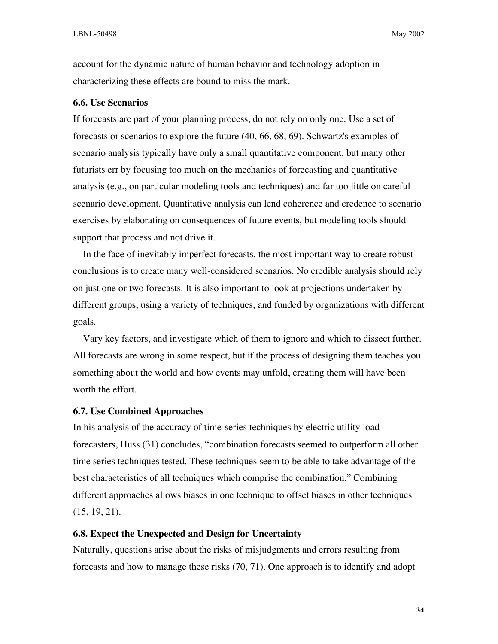account for the dynamic nature of human behavior and technology adoption in characterizing these effects are bound to miss the mark.

#### **6.6. Use Scenarios**

If forecasts are part of your planning process, do not rely on only one. Use a set of forecasts or scenarios to explore the future (40, 66, 68, 69). Schwartz's examples of scenario analysis typically have only a small quantitative component, but many other futurists err by focusing too much on the mechanics of forecasting and quantitative analysis (e.g., on particular modeling tools and techniques) and far too little on careful scenario development. Quantitative analysis can lend coherence and credence to scenario exercises by elaborating on consequences of future events, but modeling tools should support that process and not drive it.

In the face of inevitably imperfect forecasts, the most important way to create robust conclusions is to create many well-considered scenarios. No credible analysis should rely on just one or two forecasts. It is also important to look at projections undertaken by different groups, using a variety of techniques, and funded by organizations with different goals.

Vary key factors, and investigate which of them to ignore and which to dissect further. All forecasts are wrong in some respect, but if the process of designing them teaches you something about the world and how events may unfold, creating them will have been worth the effort.

#### **6.7. Use Combined Approaches**

In his analysis of the accuracy of time-series techniques by electric utility load forecasters, Huss (31) concludes, "combination forecasts seemed to outperform all other time series techniques tested. These techniques seem to be able to take advantage of the best characteristics of all techniques which comprise the combination." Combining different approaches allows biases in one technique to offset biases in other techniques (15, 19, 21).

## **6.8. Expect the Unexpected and Design for Uncertainty**

Naturally, questions arise about the risks of misjudgments and errors resulting from forecasts and how to manage these risks (70, 71). One approach is to identify and adopt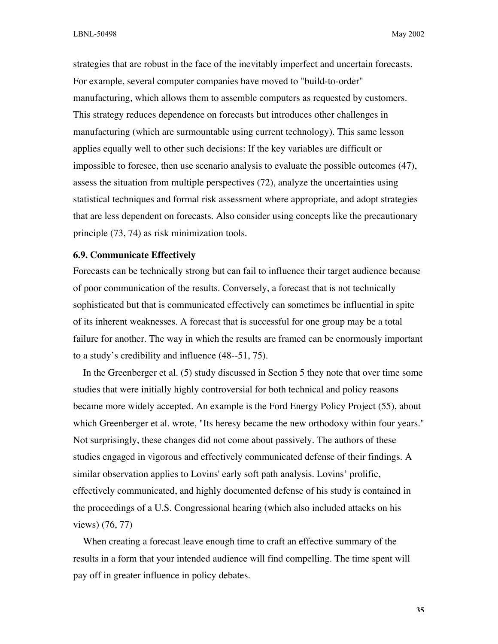strategies that are robust in the face of the inevitably imperfect and uncertain forecasts. For example, several computer companies have moved to "build-to-order" manufacturing, which allows them to assemble computers as requested by customers. This strategy reduces dependence on forecasts but introduces other challenges in manufacturing (which are surmountable using current technology). This same lesson applies equally well to other such decisions: If the key variables are difficult or impossible to foresee, then use scenario analysis to evaluate the possible outcomes (47), assess the situation from multiple perspectives (72), analyze the uncertainties using statistical techniques and formal risk assessment where appropriate, and adopt strategies that are less dependent on forecasts. Also consider using concepts like the precautionary principle (73, 74) as risk minimization tools.

## **6.9. Communicate Effectively**

Forecasts can be technically strong but can fail to influence their target audience because of poor communication of the results. Conversely, a forecast that is not technically sophisticated but that is communicated effectively can sometimes be influential in spite of its inherent weaknesses. A forecast that is successful for one group may be a total failure for another. The way in which the results are framed can be enormously important to a study's credibility and influence (48--51, 75).

In the Greenberger et al. (5) study discussed in Section 5 they note that over time some studies that were initially highly controversial for both technical and policy reasons became more widely accepted. An example is the Ford Energy Policy Project (55), about which Greenberger et al. wrote, "Its heresy became the new orthodoxy within four years." Not surprisingly, these changes did not come about passively. The authors of these studies engaged in vigorous and effectively communicated defense of their findings. A similar observation applies to Lovins' early soft path analysis. Lovins' prolific, effectively communicated, and highly documented defense of his study is contained in the proceedings of a U.S. Congressional hearing (which also included attacks on his views) (76, 77)

When creating a forecast leave enough time to craft an effective summary of the results in a form that your intended audience will find compelling. The time spent will pay off in greater influence in policy debates.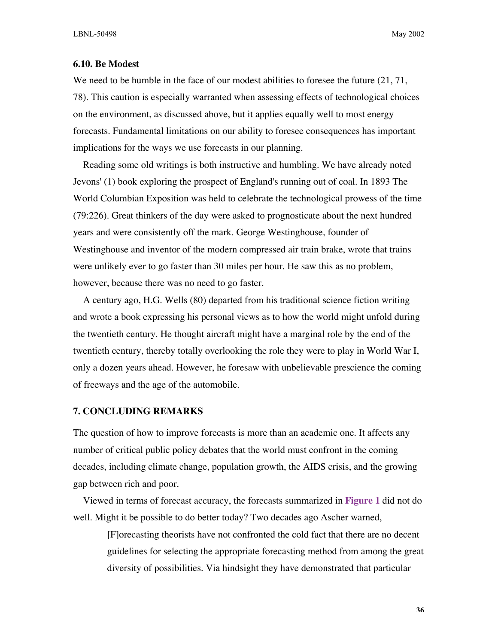## **6.10. Be Modest**

We need to be humble in the face of our modest abilities to foresee the future  $(21, 71, 71)$ 78). This caution is especially warranted when assessing effects of technological choices on the environment, as discussed above, but it applies equally well to most energy forecasts. Fundamental limitations on our ability to foresee consequences has important implications for the ways we use forecasts in our planning.

Reading some old writings is both instructive and humbling. We have already noted Jevons' (1) book exploring the prospect of England's running out of coal. In 1893 The World Columbian Exposition was held to celebrate the technological prowess of the time (79:226). Great thinkers of the day were asked to prognosticate about the next hundred years and were consistently off the mark. George Westinghouse, founder of Westinghouse and inventor of the modern compressed air train brake, wrote that trains were unlikely ever to go faster than 30 miles per hour. He saw this as no problem, however, because there was no need to go faster.

A century ago, H.G. Wells (80) departed from his traditional science fiction writing and wrote a book expressing his personal views as to how the world might unfold during the twentieth century. He thought aircraft might have a marginal role by the end of the twentieth century, thereby totally overlooking the role they were to play in World War I, only a dozen years ahead. However, he foresaw with unbelievable prescience the coming of freeways and the age of the automobile.

#### **7. CONCLUDING REMARKS**

The question of how to improve forecasts is more than an academic one. It affects any number of critical public policy debates that the world must confront in the coming decades, including climate change, population growth, the AIDS crisis, and the growing gap between rich and poor.

Viewed in terms of forecast accuracy, the forecasts summarized in **Figure 1** did not do well. Might it be possible to do better today? Two decades ago Ascher warned,

[F]orecasting theorists have not confronted the cold fact that there are no decent guidelines for selecting the appropriate forecasting method from among the great diversity of possibilities. Via hindsight they have demonstrated that particular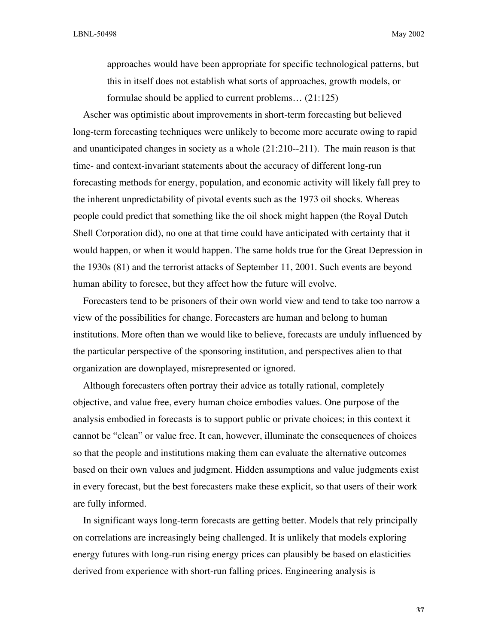approaches would have been appropriate for specific technological patterns, but this in itself does not establish what sorts of approaches, growth models, or formulae should be applied to current problems… (21:125)

Ascher was optimistic about improvements in short-term forecasting but believed long-term forecasting techniques were unlikely to become more accurate owing to rapid and unanticipated changes in society as a whole (21:210--211). The main reason is that time- and context-invariant statements about the accuracy of different long-run forecasting methods for energy, population, and economic activity will likely fall prey to the inherent unpredictability of pivotal events such as the 1973 oil shocks. Whereas people could predict that something like the oil shock might happen (the Royal Dutch Shell Corporation did), no one at that time could have anticipated with certainty that it would happen, or when it would happen. The same holds true for the Great Depression in the 1930s (81) and the terrorist attacks of September 11, 2001. Such events are beyond human ability to foresee, but they affect how the future will evolve.

Forecasters tend to be prisoners of their own world view and tend to take too narrow a view of the possibilities for change. Forecasters are human and belong to human institutions. More often than we would like to believe, forecasts are unduly influenced by the particular perspective of the sponsoring institution, and perspectives alien to that organization are downplayed, misrepresented or ignored.

Although forecasters often portray their advice as totally rational, completely objective, and value free, every human choice embodies values. One purpose of the analysis embodied in forecasts is to support public or private choices; in this context it cannot be "clean" or value free. It can, however, illuminate the consequences of choices so that the people and institutions making them can evaluate the alternative outcomes based on their own values and judgment. Hidden assumptions and value judgments exist in every forecast, but the best forecasters make these explicit, so that users of their work are fully informed.

In significant ways long-term forecasts are getting better. Models that rely principally on correlations are increasingly being challenged. It is unlikely that models exploring energy futures with long-run rising energy prices can plausibly be based on elasticities derived from experience with short-run falling prices. Engineering analysis is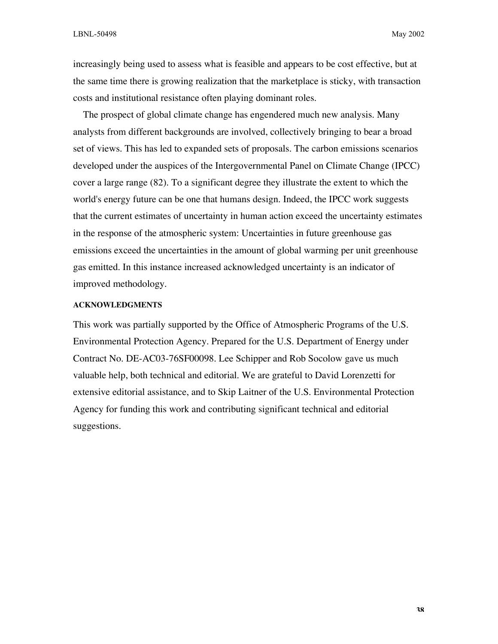increasingly being used to assess what is feasible and appears to be cost effective, but at the same time there is growing realization that the marketplace is sticky, with transaction costs and institutional resistance often playing dominant roles.

The prospect of global climate change has engendered much new analysis. Many analysts from different backgrounds are involved, collectively bringing to bear a broad set of views. This has led to expanded sets of proposals. The carbon emissions scenarios developed under the auspices of the Intergovernmental Panel on Climate Change (IPCC) cover a large range (82). To a significant degree they illustrate the extent to which the world's energy future can be one that humans design. Indeed, the IPCC work suggests that the current estimates of uncertainty in human action exceed the uncertainty estimates in the response of the atmospheric system: Uncertainties in future greenhouse gas emissions exceed the uncertainties in the amount of global warming per unit greenhouse gas emitted. In this instance increased acknowledged uncertainty is an indicator of improved methodology.

## **ACKNOWLEDGMENTS**

This work was partially supported by the Office of Atmospheric Programs of the U.S. Environmental Protection Agency. Prepared for the U.S. Department of Energy under Contract No. DE-AC03-76SF00098. Lee Schipper and Rob Socolow gave us much valuable help, both technical and editorial. We are grateful to David Lorenzetti for extensive editorial assistance, and to Skip Laitner of the U.S. Environmental Protection Agency for funding this work and contributing significant technical and editorial suggestions.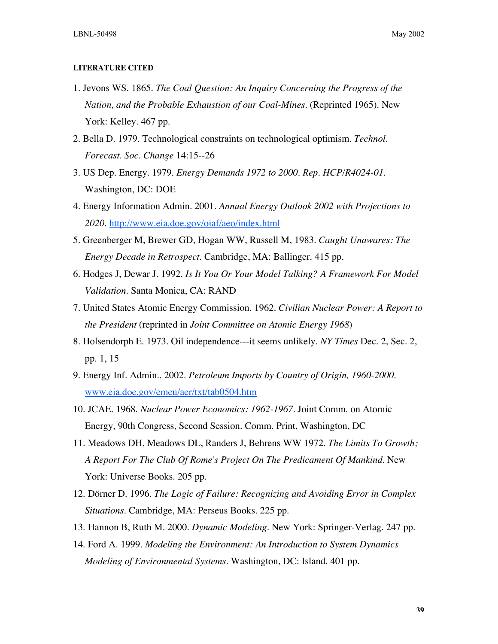#### **LITERATURE CITED**

- 1. Jevons WS. 1865. *The Coal Question: An Inquiry Concerning the Progress of the Nation, and the Probable Exhaustion of our Coal-Mines.* (Reprinted 1965). New York: Kelley. 467 pp.
- 2. Bella D. 1979. Technological constraints on technological optimism. *Technol. Forecast. Soc. Change* 14:15--26
- 3. US Dep. Energy. 1979. *Energy Demands 1972 to 2000. Rep. HCP/R4024-01*. Washington, DC: DOE
- 4. Energy Information Admin. 2001. *Annual Energy Outlook 2002 with Projections to 2020.* http://www.eia.doe.gov/oiaf/aeo/index.html
- 5. Greenberger M, Brewer GD, Hogan WW, Russell M, 1983. *Caught Unawares: The Energy Decade in Retrospect*. Cambridge, MA: Ballinger. 415 pp.
- 6. Hodges J, Dewar J. 1992. *Is It You Or Your Model Talking? A Framework For Model Validation.* Santa Monica, CA: RAND
- 7. United States Atomic Energy Commission. 1962. *Civilian Nuclear Power: A Report to the President* (reprinted in *Joint Committee on Atomic Energy 1968*)
- 8. Holsendorph E. 1973. Oil independence---it seems unlikely. *NY Times* Dec. 2, Sec. 2, pp. 1, 15
- 9. Energy Inf. Admin.. 2002. *Petroleum Imports by Country of Origin, 1960-2000.* www.eia.doe.gov/emeu/aer/txt/tab0504.htm
- 10. JCAE. 1968. *Nuclear Power Economics: 1962-1967.* Joint Comm. on Atomic Energy, 90th Congress, Second Session. Comm. Print, Washington, DC
- 11. Meadows DH, Meadows DL, Randers J, Behrens WW 1972. *The Limits To Growth; A Report For The Club Of Rome's Project On The Predicament Of Mankind*. New York: Universe Books. 205 pp.
- 12. Dörner D. 1996. *The Logic of Failure: Recognizing and Avoiding Error in Complex Situations*. Cambridge, MA: Perseus Books. 225 pp.
- 13. Hannon B, Ruth M. 2000. *Dynamic Modeling*. New York: Springer-Verlag. 247 pp.
- 14. Ford A. 1999. *Modeling the Environment: An Introduction to System Dynamics Modeling of Environmental Systems*. Washington, DC: Island. 401 pp.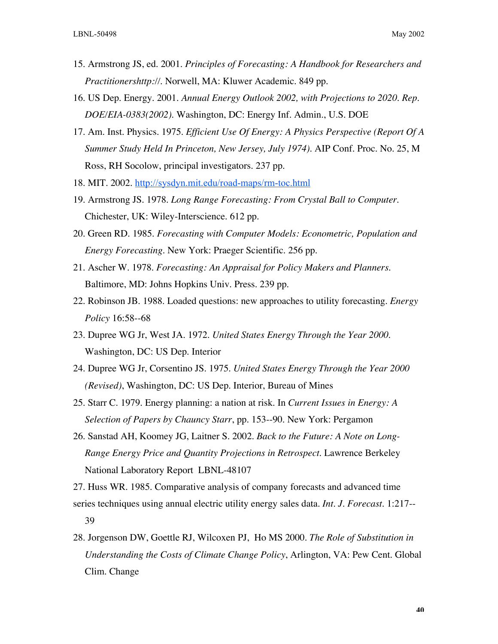- 15. Armstrong JS, ed. 2001. *Principles of Forecasting: A Handbook for Researchers and Practitionershttp://*. Norwell, MA: Kluwer Academic. 849 pp.
- 16. US Dep. Energy. 2001. *Annual Energy Outlook 2002, with Projections to 2020. Rep. DOE/EIA-0383(2002)*. Washington, DC: Energy Inf. Admin., U.S. DOE
- 17. Am. Inst. Physics. 1975. *Efficient Use Of Energy: A Physics Perspective (Report Of A Summer Study Held In Princeton, New Jersey, July 1974)*. AIP Conf. Proc. No. 25, M Ross, RH Socolow, principal investigators. 237 pp.
- 18. MIT. 2002. http://sysdyn.mit.edu/road-maps/rm-toc.html
- 19. Armstrong JS. 1978. *Long Range Forecasting: From Crystal Ball to Computer*. Chichester, UK: Wiley-Interscience. 612 pp.
- 20. Green RD. 1985. *Forecasting with Computer Models: Econometric, Population and Energy Forecasting*. New York: Praeger Scientific. 256 pp.
- 21. Ascher W. 1978. *Forecasting: An Appraisal for Policy Makers and Planners*. Baltimore, MD: Johns Hopkins Univ. Press. 239 pp.
- 22. Robinson JB. 1988. Loaded questions: new approaches to utility forecasting. *Energy Policy* 16:58--68
- 23. Dupree WG Jr, West JA. 1972. *United States Energy Through the Year 2000*. Washington, DC: US Dep. Interior
- 24. Dupree WG Jr, Corsentino JS. 1975. *United States Energy Through the Year 2000 (Revised)*, Washington, DC: US Dep. Interior, Bureau of Mines
- 25. Starr C. 1979. Energy planning: a nation at risk. In *Current Issues in Energy: A Selection of Papers by Chauncy Starr*, pp. 153--90. New York: Pergamon
- 26. Sanstad AH, Koomey JG, Laitner S. 2002. *Back to the Future: A Note on Long-Range Energy Price and Quantity Projections in Retrospect*. Lawrence Berkeley National Laboratory Report LBNL-48107

27. Huss WR. 1985. Comparative analysis of company forecasts and advanced time series techniques using annual electric utility energy sales data. *Int. J. Forecast.* 1:217-- 39

28. Jorgenson DW, Goettle RJ, Wilcoxen PJ, Ho MS 2000. *The Role of Substitution in Understanding the Costs of Climate Change Policy*, Arlington, VA: Pew Cent. Global Clim. Change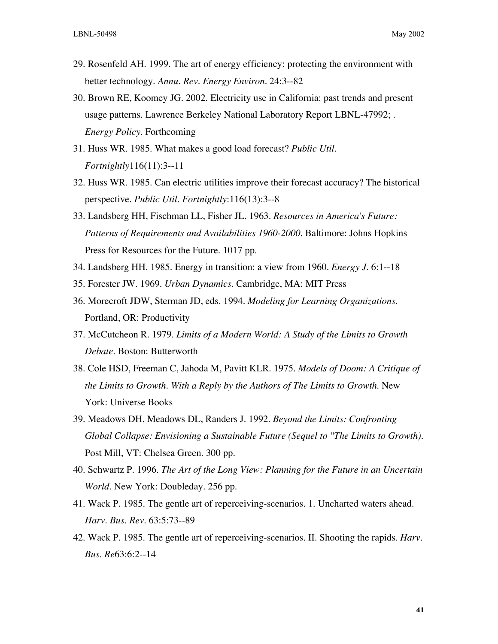- 29. Rosenfeld AH. 1999. The art of energy efficiency: protecting the environment with better technology. *Annu. Rev. Energy Environ.* 24:3--82
- 30. Brown RE, Koomey JG. 2002. Electricity use in California: past trends and present usage patterns. Lawrence Berkeley National Laboratory Report LBNL-47992; . *Energy Policy.* Forthcoming
- 31. Huss WR. 1985. What makes a good load forecast? *Public Util. Fortnightly*116(11):3--11
- 32. Huss WR. 1985. Can electric utilities improve their forecast accuracy? The historical perspective. *Public Util. Fortnightly*:116(13):3--8
- 33. Landsberg HH, Fischman LL, Fisher JL. 1963. *Resources in America's Future: Patterns of Requirements and Availabilities 1960-2000*. Baltimore: Johns Hopkins Press for Resources for the Future. 1017 pp.
- 34. Landsberg HH. 1985. Energy in transition: a view from 1960. *Energy J.* 6:1--18
- 35. Forester JW. 1969. *Urban Dynamics*. Cambridge, MA: MIT Press
- 36. Morecroft JDW, Sterman JD, eds. 1994. *Modeling for Learning Organizations*. Portland, OR: Productivity
- 37. McCutcheon R. 1979. *Limits of a Modern World: A Study of the Limits to Growth Debate*. Boston: Butterworth
- 38. Cole HSD, Freeman C, Jahoda M, Pavitt KLR. 1975. *Models of Doom: A Critique of the Limits to Growth. With a Reply by the Authors of The Limits to Growth*. New York: Universe Books
- 39. Meadows DH, Meadows DL, Randers J. 1992. *Beyond the Limits: Confronting Global Collapse: Envisioning a Sustainable Future (Sequel to "The Limits to Growth).* Post Mill, VT: Chelsea Green. 300 pp.
- 40. Schwartz P. 1996. *The Art of the Long View: Planning for the Future in an Uncertain World*. New York: Doubleday. 256 pp.
- 41. Wack P. 1985. The gentle art of reperceiving-scenarios. 1. Uncharted waters ahead. *Harv. Bus. Rev.* 63:5:73--89
- 42. Wack P. 1985. The gentle art of reperceiving-scenarios. II. Shooting the rapids. *Harv. Bus. Re*63:6:2--14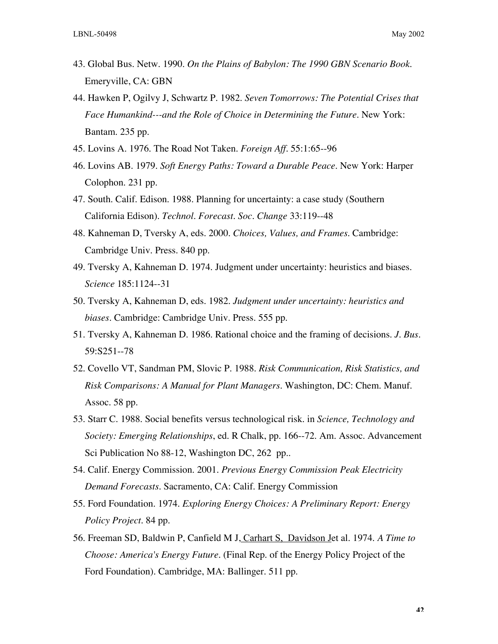- 43. Global Bus. Netw. 1990. *On the Plains of Babylon: The 1990 GBN Scenario Book*. Emeryville, CA: GBN
- 44. Hawken P, Ogilvy J, Schwartz P. 1982. *Seven Tomorrows: The Potential Crises that Face Humankind---and the Role of Choice in Determining the Future*. New York: Bantam. 235 pp.
- 45. Lovins A. 1976. The Road Not Taken. *Foreign Aff.* 55:1:65--96
- 46. Lovins AB. 1979. *Soft Energy Paths: Toward a Durable Peace*. New York: Harper Colophon. 231 pp.
- 47. South. Calif. Edison. 1988. Planning for uncertainty: a case study (Southern California Edison). *Technol. Forecast. Soc. Change* 33:119--48
- 48. Kahneman D, Tversky A, eds. 2000. *Choices, Values, and Frames*. Cambridge: Cambridge Univ. Press. 840 pp.
- 49. Tversky A, Kahneman D. 1974. Judgment under uncertainty: heuristics and biases. *Science* 185:1124--31
- 50. Tversky A, Kahneman D, eds. 1982. *Judgment under uncertainty: heuristics and biases*. Cambridge: Cambridge Univ. Press. 555 pp.
- 51. Tversky A, Kahneman D. 1986. Rational choice and the framing of decisions. *J. Bus.* 59:S251--78
- 52. Covello VT, Sandman PM, Slovic P. 1988. *Risk Communication, Risk Statistics, and Risk Comparisons: A Manual for Plant Managers*. Washington, DC: Chem. Manuf. Assoc. 58 pp.
- 53. Starr C. 1988. Social benefits versus technological risk. in *Science, Technology and Society: Emerging Relationships*, ed. R Chalk, pp. 166--72. Am. Assoc. Advancement Sci Publication No 88-12, Washington DC, 262 pp..
- 54. Calif. Energy Commission. 2001. *Previous Energy Commission Peak Electricity Demand Forecasts*. Sacramento, CA: Calif. Energy Commission
- 55. Ford Foundation. 1974. *Exploring Energy Choices: A Preliminary Report: Energy Policy Project*. 84 pp.
- 56. Freeman SD, Baldwin P, Canfield M J, Carhart S, Davidson Jet al. 1974. *A Time to Choose: America's Energy Future.* (Final Rep. of the Energy Policy Project of the Ford Foundation). Cambridge, MA: Ballinger. 511 pp.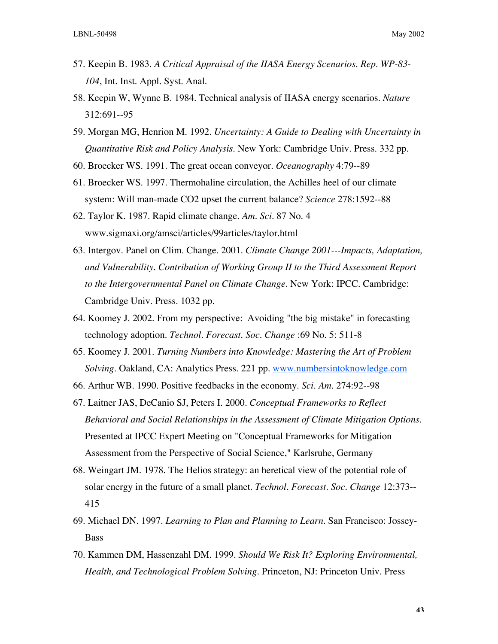- 57. Keepin B. 1983. *A Critical Appraisal of the IIASA Energy Scenarios. Rep. WP-83- 104*, Int. Inst. Appl. Syst. Anal.
- 58. Keepin W, Wynne B. 1984. Technical analysis of IIASA energy scenarios. *Nature* 312:691--95
- 59. Morgan MG, Henrion M. 1992. *Uncertainty: A Guide to Dealing with Uncertainty in Quantitative Risk and Policy Analysis*. New York: Cambridge Univ. Press. 332 pp.
- 60. Broecker WS. 1991. The great ocean conveyor. *Oceanography* 4:79--89
- 61. Broecker WS. 1997. Thermohaline circulation, the Achilles heel of our climate system: Will man-made CO2 upset the current balance? *Science* 278:1592--88
- 62. Taylor K. 1987. Rapid climate change. *Am. Sci.* 87 No. 4 www.sigmaxi.org/amsci/articles/99articles/taylor.html
- 63. Intergov. Panel on Clim. Change. 2001. *Climate Change 2001---Impacts, Adaptation, and Vulnerability. Contribution of Working Group II to the Third Assessment Report to the Intergovernmental Panel on Climate Change*. New York: IPCC. Cambridge: Cambridge Univ. Press. 1032 pp.
- 64. Koomey J. 2002. From my perspective: Avoiding "the big mistake" in forecasting technology adoption. *Technol. Forecast. Soc. Change* :69 No. 5: 511-8
- 65. Koomey J. 2001. *Turning Numbers into Knowledge: Mastering the Art of Problem Solving*. Oakland, CA: Analytics Press. 221 pp. www.numbersintoknowledge.com
- 66. Arthur WB. 1990. Positive feedbacks in the economy. *Sci. Am.* 274:92--98
- 67. Laitner JAS, DeCanio SJ, Peters I. 2000. *Conceptual Frameworks to Reflect Behavioral and Social Relationships in the Assessment of Climate Mitigation Options*. Presented at IPCC Expert Meeting on "Conceptual Frameworks for Mitigation Assessment from the Perspective of Social Science," Karlsruhe, Germany
- 68. Weingart JM. 1978. The Helios strategy: an heretical view of the potential role of solar energy in the future of a small planet. *Technol. Forecast. Soc. Change* 12:373-- 415
- 69. Michael DN. 1997. *Learning to Plan and Planning to Learn*. San Francisco: Jossey-Bass
- 70. Kammen DM, Hassenzahl DM. 1999. *Should We Risk It? Exploring Environmental, Health, and Technological Problem Solving*. Princeton, NJ: Princeton Univ. Press